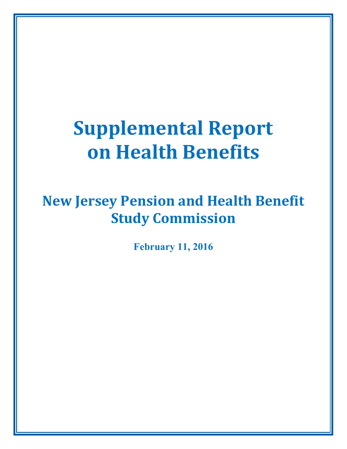# **Supplemental Report on Health Benefits**

# **New Jersey Pension and Health Benefit Study Commission**

**February 11, 2016**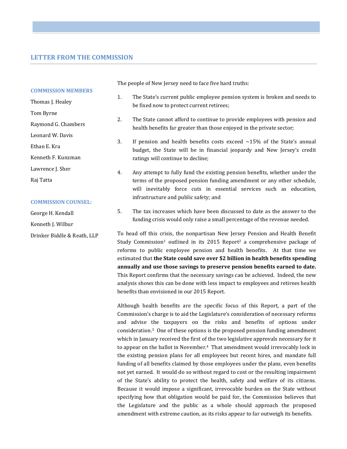# **LETTER FROM THE COMMISSION**

|                           | The people of New Jersey need to face five |                                                                              |  |  |
|---------------------------|--------------------------------------------|------------------------------------------------------------------------------|--|--|
| <b>COMMISSION MEMBERS</b> |                                            |                                                                              |  |  |
| Thomas J. Healey          | 1.                                         | The State's current public employee<br>be fixed now to protect current retir |  |  |
| Tom Byrne                 |                                            |                                                                              |  |  |
| Raymond G. Chambers       | 2.                                         | The State cannot afford to continue<br>health benefits far greater than thos |  |  |
| Leonard W. Davis          |                                            |                                                                              |  |  |
| Ethan E. Kra              | 3.                                         | If pension and health benefits cos<br>budget, the State will be in finan     |  |  |
| Kenneth F. Kunzman        |                                            | ratings will continue to decline:                                            |  |  |
| Lawrence J. Sher          | 4.                                         | Any attempt to fully fund the existi                                         |  |  |
| Raj Tatta                 |                                            | terms of the proposed pension fund<br>urill inovitably fongo quta in a       |  |  |

#### **COMMISSION COUNSEL:**

George H. Kendall Kenneth J. Wilbur Drinker Biddle & Reath, LLP hard truths:

- pension system is broken and needs to be fixed now to protect current retirees;
- to provide employees with pension and e enjoyed in the private sector;
- ts exceed ∼15% of the State's annual cial jeopardy and New Jersey's credit
- ng pension benefits, whether under the ding amendment or any other schedule, will inevitably force cuts in essential services such as education, infrastructure and public safety; and
- 5. The tax increases which have been discussed to date as the answer to the funding crisis would only raise a small percentage of the revenue needed.

To head off this crisis, the nonpartisan New Jersey Pension and Health Benefit Study Commission<sup>1</sup> outlined in its 2015 Report<sup>2</sup> a comprehensive package of reforms to public employee pension and health benefits. At that time we estimated that **the State could save over \$2 billion in health benefits spending annually and use those savings to preserve pension benefits earned to date.**  This Report confirms that the necessary savings can be achieved. Indeed, the new analysis shows this can be done with less impact to employees and retirees health benefits than envisioned in our 2015 Report.

Although health benefits are the specific focus of this Report, a part of the Commission's charge is to aid the Legislature's consideration of necessary reforms and advise the taxpayers on the risks and benefits of options under consideration.3 One of these options is the proposed pension funding amendment which in January received the first of the two legislative approvals necessary for it to appear on the ballot in November.4 That amendment would irrevocably lock in the existing pension plans for all employees but recent hires, and mandate full funding of all benefits claimed by those employees under the plans, even benefits not yet earned. It would do so without regard to cost or the resulting impairment of the State's ability to protect the health, safety and welfare of its citizens. Because it would impose a significant, irrevocable burden on the State without specifying how that obligation would be paid for, the Commission believes that the Legislature and the public as a whole should approach the proposed amendment with extreme caution, as its risks appear to far outweigh its benefits.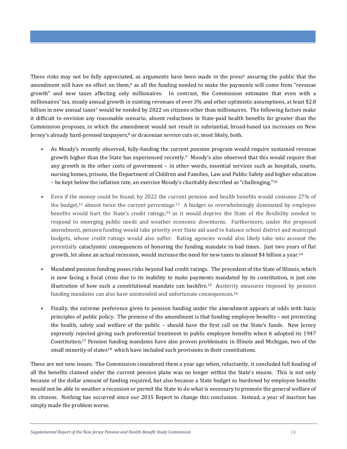These risks may not be fully appreciated, as arguments have been made in the press<sup>5</sup> assuring the public that the amendment will have no effect on them,6 as all the funding needed to make the payments will come from "revenue growth" and new taxes affecting only millionaires. In contrast, the Commission estimates that even with a millionaires' tax, steady annual growth in existing revenues of over 3% and other optimistic assumptions, at least \$2.8 billion in new annual taxes<sup>7</sup> would be needed by 2022 on citizens other than millionaires. The following factors make it difficult to envision any reasonable scenario, absent reductions in State-paid health benefits far greater than the Commission proposes, in which the amendment would not result in substantial, broad-based tax increases on New Jersey's already hard-pressed taxpayers, $8$  or draconian service cuts or, most likely, both.

- As Moody's recently observed, fully-funding the current pension program would require sustained revenue growth higher than the State has experienced recently.9 Moody's also observed that this would require that any growth in the other costs of government – in other words, essential services such as hospitals, courts, nursing homes, prisons, the Department of Children and Families, Law and Public Safety and higher education – be kept below the inflation rate, an exercise Moody's charitably described as "challenging."<sup>10</sup>
- Even if the money could be found, by 2022 the current pension and health benefits would consume 27% of the budget,<sup>11</sup> almost twice the current percentage.<sup>12</sup> A budget so overwhelmingly dominated by employee benefits would hurt the State's credit ratings,13 as it would deprive the State of the flexibility needed to respond to emerging public needs and weather economic downturns. Furthermore, under the proposed amendment, pension funding would take priority over State aid used to balance school district and municipal budgets, whose credit ratings would also suffer. Rating agencies would also likely take into account the potentially cataclysmic consequences of honoring the funding mandate in bad times. Just two years of flat growth, let alone an actual recession, would increase the need for new taxes to almost \$4 billion a year.<sup>14</sup>
- Mandated pension funding poses risks beyond bad credit ratings. The precedent of the State of Illinois, which is now facing a fiscal crisis due to its inability to make payments mandated by its constitution, is just one illustration of how such a constitutional mandate can backfire.15 Austerity measures imposed by pension funding mandates can also have unintended and unfortunate consequences. 16
- Finally, the extreme preference given to pension funding under the amendment appears at odds with basic principles of public policy. The premise of the amendment is that funding employee benefits – not protecting the health, safety and welfare of the public – should have the first call on the State's funds. New Jersey expressly rejected giving such preferential treatment to public employee benefits when it adopted its 1947 Constitution.17 Pension funding mandates have also proven problematic in Illinois and Michigan, two of the small minority of states<sup>18</sup> which have included such provisions in their constitutions.

These are not new issues. The Commission considered them a year ago when, reluctantly, it concluded full funding of all the benefits claimed under the current pension plans was no longer within the State's means. This is not only because of the dollar amount of funding required, but also because a State budget so burdened by employee benefits would not be able to weather a recession or permit the State to do what is necessary to promote the general welfare of its citizens. Nothing has occurred since our 2015 Report to change this conclusion. Instead, a year of inaction has simply made the problem worse.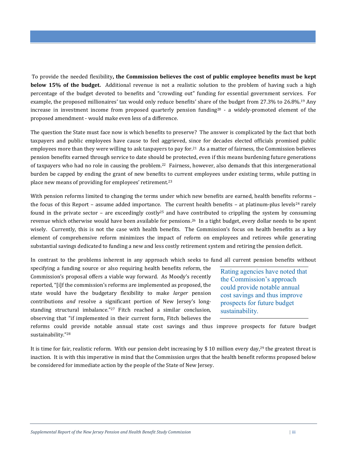To provide the needed flexibility**, the Commission believes the cost of public employee benefits must be kept below 15% of the budget.** Additional revenue is not a realistic solution to the problem of having such a high percentage of the budget devoted to benefits and "crowding out" funding for essential government services. For example, the proposed millionaires' tax would only reduce benefits' share of the budget from 27.3% to 26.8%.19 Any increase in investment income from proposed quarterly pension funding<sup>20</sup> - a widely-promoted element of the proposed amendment - would make even less of a difference.

The question the State must face now is which benefits to preserve? The answer is complicated by the fact that both taxpayers and public employees have cause to feel aggrieved, since for decades elected officials promised public employees more than they were willing to ask taxpayers to pay for.21 As a matter of fairness, the Commission believes pension benefits earned through service to date should be protected, even if this means burdening future generations of taxpayers who had no role in causing the problem. <sup>22</sup> Fairness, however, also demands that this intergenerational burden be capped by ending the grant of new benefits to current employees under existing terms, while putting in place new means of providing for employees' retirement.<sup>23</sup>

With pension reforms limited to changing the terms under which new benefits are earned, health benefits reforms the focus of this Report – assume added importance. The current health benefits – at platinum-plus levels<sup>24</sup> rarely found in the private sector – are exceedingly costly<sup>25</sup> and have contributed to crippling the system by consuming revenue which otherwise would have been available for pensions.26 In a tight budget, every dollar needs to be spent wisely. Currently, this is not the case with health benefits. The Commission's focus on health benefits as a key element of comprehensive reform minimizes the impact of reform on employees and retirees while generating substantial savings dedicated to funding a new and less costly retirement system and retiring the pension deficit.

In contrast to the problems inherent in any approach which seeks to fund all current pension benefits without

specifying a funding source or also requiring health benefits reform, the Commission's proposal offers a viable way forward. As Moody's recently reported, "[i]f the commission's reforms are implemented as proposed, the state would have the budgetary flexibility to make *larger* pension contributions *and* resolve a significant portion of New Jersey's longstanding structural imbalance."27 Fitch reached a similar conclusion, observing that "if implemented in their current form, Fitch believes the

Rating agencies have noted that the Commission's approach could provide notable annual cost savings and thus improve prospects for future budget sustainability.

reforms could provide notable annual state cost savings and thus improve prospects for future budget sustainability."<sup>28</sup>

It is time for fair, realistic reform. With our pension debt increasing by \$10 million every day,<sup>29</sup> the greatest threat is inaction. It is with this imperative in mind that the Commission urges that the health benefit reforms proposed below be considered for immediate action by the people of the State of New Jersey.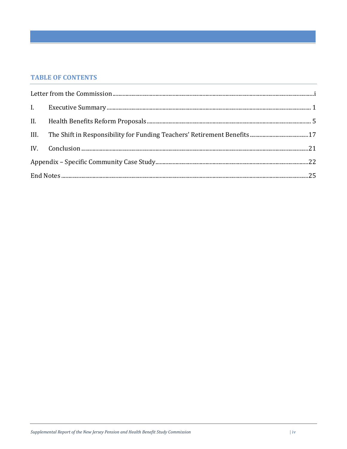# **TABLE OF CONTENTS**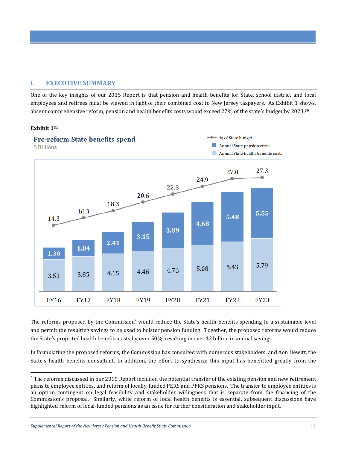# **I. EXECUTIVE SUMMARY**

One of the key insights of our 2015 Report is that pension and health benefits for State, school district and local employees and retirees must be viewed in light of their combined cost to New Jersey taxpayers. As Exhibit 1 shows, absent comprehensive reform, pension and health benefits costs would exceed 27% of the state's budget by 2023.<sup>30</sup>

# **Exhibit 1<sup>31</sup>**



The reforms proposed by the Commission<sup>\*</sup> would reduce the State's health benefits spending to a sustainable level and permit the resulting savings to be used to bolster pension funding. Together, the proposed reforms would reduce the State's projected health benefits costs by over 50%, resulting in over \$2 billion in annual savings.

In formulating the proposed reforms, the Commission has consulted with numerous stakeholders, and Aon Hewitt, the State's health benefits consultant. In addition, the effort to synthesize this input has benefitted greatly from the

*Supplemental Report of the New Jersey Pension and Health Benefit Study Commission* | 1

<sup>&</sup>lt;u>.</u> \* The reforms discussed in our 2015 Report included the potential transfer of the existing pension and new retirement plans to employee entities, and reform of locally-funded PERS and PFRS pensions. The transfer to employee entities is an option contingent on legal feasibility and stakeholder willingness that is separate from the financing of the Commission's proposal. Similarly, while reform of local health benefits is essential, subsequent discussions have highlighted reform of local-funded pensions as an issue for further consideration and stakeholder input.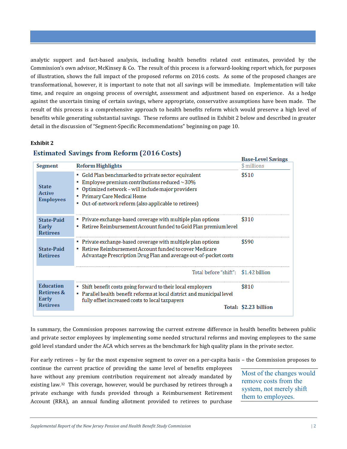analytic support and fact-based analysis, including health benefits related cost estimates, provided by the Commission's own advisor, McKinsey & Co. The result of this process is a forward-looking report which, for purposes of illustration, shows the full impact of the proposed reforms on 2016 costs. As some of the proposed changes are transformational, however, it is important to note that not all savings will be immediate. Implementation will take time, and require an ongoing process of oversight, assessment and adjustment based on experience. As a hedge against the uncertain timing of certain savings, where appropriate, conservative assumptions have been made. The result of this process is a comprehensive approach to health benefits reform which would preserve a high level of benefits while generating substantial savings. These reforms are outlined in Exhibit 2 below and described in greater detail in the discussion of "Segment-Specific Recommendations" beginning on page 10.

#### **Exhibit 2**

# **Estimated Savings from Reform (2016 Costs)**

|                                                   |                                                                                                                                                                                                                                                   | <b>Base-Level Savings</b> |
|---------------------------------------------------|---------------------------------------------------------------------------------------------------------------------------------------------------------------------------------------------------------------------------------------------------|---------------------------|
| Segment                                           | <b>Reform Highlights</b>                                                                                                                                                                                                                          | \$ millions               |
| <b>State</b><br><b>Active</b><br><b>Employees</b> | • Gold Plan benchmarked to private sector equivalent<br>Employee premium contributions reduced $\sim$ 30%<br>Optimized network - will include major providers<br>Primary Care Medical Home<br>Out-of-network reform (also applicable to retirees) | \$510                     |
| <b>State-Paid</b><br>Early<br><b>Retirees</b>     | Private exchange-based coverage with multiple plan options<br>Retiree Reimbursement Account funded to Gold Plan premium level                                                                                                                     | \$310                     |
| <b>State-Paid</b><br><b>Retirees</b>              | Private exchange-based coverage with multiple plan options<br>" Retiree Reimbursement Account funded to cover Medicare<br>Advantage Prescription Drug Plan and average out-of-pocket costs                                                        | \$590                     |
|                                                   | Total before "shift": \$1.42 billion                                                                                                                                                                                                              |                           |
| <b>Education</b><br>Retirees &<br>Early           | Shift benefit costs going forward to their local employers<br>Parallel health benefit reforms at local district and municipal level<br>fully offset increased costs to local taxpayers                                                            | \$810                     |
| <b>Retirees</b>                                   |                                                                                                                                                                                                                                                   | Total: \$2.23 billion     |

In summary, the Commission proposes narrowing the current extreme difference in health benefits between public and private sector employees by implementing some needed structural reforms and moving employees to the same gold level standard under the ACA which serves as the benchmark for high quality plans in the private sector.

For early retirees – by far the most expensive segment to cover on a per-capita basis – the Commission proposes to

continue the current practice of providing the same level of benefits employees have without any premium contribution requirement not already mandated by existing law.32 This coverage, however, would be purchased by retirees through a private exchange with funds provided through a Reimbursement Retirement Account (RRA), an annual funding allotment provided to retirees to purchase

Most of the changes would remove costs from the system, not merely shift them to employees.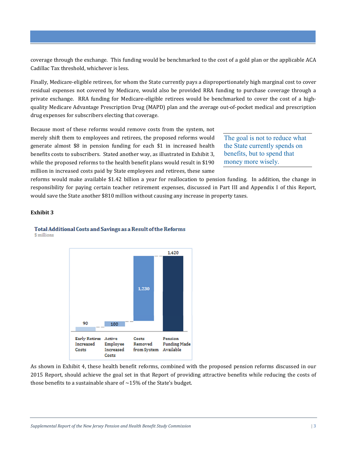coverage through the exchange. This funding would be benchmarked to the cost of a gold plan or the applicable ACA Cadillac Tax threshold, whichever is less.

Finally, Medicare-eligible retirees, for whom the State currently pays a disproportionately high marginal cost to cover residual expenses not covered by Medicare, would also be provided RRA funding to purchase coverage through a private exchange. RRA funding for Medicare-eligible retirees would be benchmarked to cover the cost of a highquality Medicare Advantage Prescription Drug (MAPD) plan and the average out-of-pocket medical and prescription drug expenses for subscribers electing that coverage.

Because most of these reforms would remove costs from the system, not merely shift them to employees and retirees, the proposed reforms would generate almost \$8 in pension funding for each \$1 in increased health benefits costs to subscribers. Stated another way, as illustrated in Exhibit 3, while the proposed reforms to the health benefit plans would result in \$190 million in increased costs paid by State employees and retirees, these same

The goal is not to reduce what the State currently spends on benefits, but to spend that money more wisely.

reforms would make available \$1.42 billion a year for reallocation to pension funding. In addition, the change in responsibility for paying certain teacher retirement expenses, discussed in Part III and Appendix I of this Report, would save the State another \$810 million without causing any increase in property taxes.

# **Exhibit 3**

# Total Additional Costs and Savings as a Result of the Reforms





As shown in Exhibit 4, these health benefit reforms, combined with the proposed pension reforms discussed in our 2015 Report, should achieve the goal set in that Report of providing attractive benefits while reducing the costs of those benefits to a sustainable share of ∼15% of the State's budget.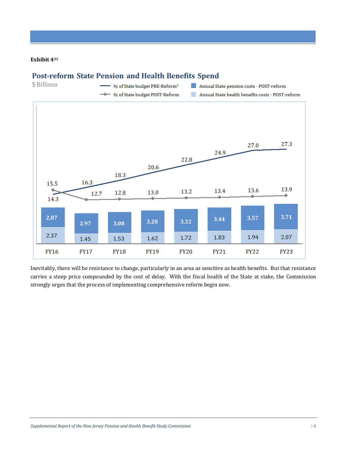### **Exhibit 4<sup>33</sup>**

# **Post-reform State Pension and Health Benefits Spend**



Inevitably, there will be resistance to change, particularly in an area as sensitive as health benefits. But that resistance carries a steep price compounded by the cost of delay. With the fiscal health of the State at stake, the Commission strongly urges that the process of implementing comprehensive reform begin now.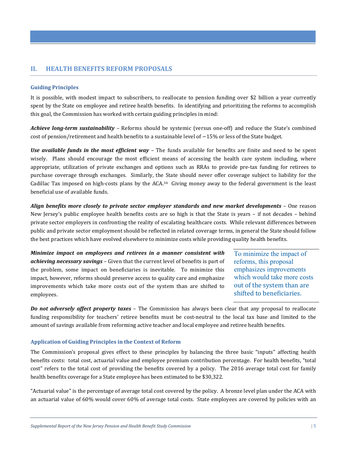# **II. HEALTH BENEFITS REFORM PROPOSALS**

#### **Guiding Principles**

It is possible, with modest impact to subscribers, to reallocate to pension funding over \$2 billion a year currently spent by the State on employee and retiree health benefits. In identifying and prioritizing the reforms to accomplish this goal, the Commission has worked with certain guiding principles in mind:

*Achieve long-term sustainability –* Reforms should be systemic (versus one-off) and reduce the State's combined cost of pension/retirement and health benefits to a sustainable level of ∽15% or less of the State budget.

*Use available funds in the most efficient way –* The funds available for benefits are finite and need to be spent wisely. Plans should encourage the most efficient means of accessing the health care system including, where appropriate, utilization of private exchanges and options such as RRAs to provide pre-tax funding for retirees to purchase coverage through exchanges. Similarly, the State should never offer coverage subject to liability for the Cadillac Tax imposed on high-costs plans by the ACA.<sup>34</sup> Giving money away to the federal government is the least beneficial use of available funds.

*Align benefits more closely to private sector employer standards and new market developments* – One reason New Jersey's public employee health benefits costs are so high is that the State is years – if not decades – behind private sector employers in confronting the reality of escalating healthcare costs. While relevant differences between public and private sector employment should be reflected in related coverage terms, in general the State should follow the best practices which have evolved elsewhere to minimize costs while providing quality health benefits.

*Minimize impact on employees and retirees in a manner consistent with achieving necessary savings* – Given that the current level of benefits is part of the problem, some impact on beneficiaries is inevitable. To minimize this impact, however, reforms should preserve access to quality care and emphasize improvements which take more costs out of the system than are shifted to employees.

To minimize the impact of reforms, this proposal emphasizes improvements which would take more costs out of the system than are shifted to beneficiaries.

*Do not adversely affect property taxes* – The Commission has always been clear that any proposal to reallocate funding responsibility for teachers' retiree benefits must be cost-neutral to the local tax base and limited to the amount of savings available from reforming active teacher and local employee and retiree health benefits.

# **Application of Guiding Principles in the Context of Reform**

The Commission's proposal gives effect to these principles by balancing the three basic "inputs" affecting health benefits costs: total cost, actuarial value and employee premium contribution percentage. For health benefits, "total cost" refers to the total cost of providing the benefits covered by a policy. The 2016 average total cost for family health benefits coverage for a State employee has been estimated to be \$30,322.

"Actuarial value" is the percentage of average total cost covered by the policy. A bronze level plan under the ACA with an actuarial value of 60% would cover 60% of average total costs. State employees are covered by policies with an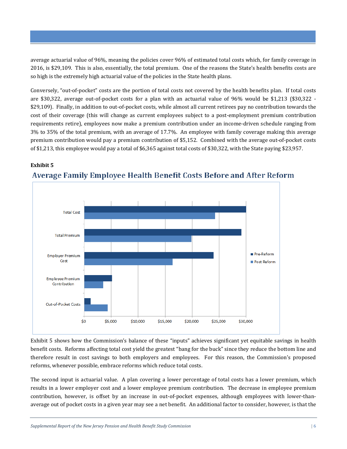average actuarial value of 96%, meaning the policies cover 96% of estimated total costs which, for family coverage in 2016, is \$29,109. This is also, essentially, the total premium. One of the reasons the State's health benefits costs are so high is the extremely high actuarial value of the policies in the State health plans.

Conversely, "out-of-pocket" costs are the portion of total costs not covered by the health benefits plan. If total costs are \$30,322, average out-of-pocket costs for a plan with an actuarial value of 96% would be \$1,213 (\$30,322 - \$29,109). Finally, in addition to out-of-pocket costs, while almost all current retirees pay no contribution towards the cost of their coverage (this will change as current employees subject to a post-employment premium contribution requirements retire), employees now make a premium contribution under an income-driven schedule ranging from 3% to 35% of the total premium, with an average of 17.7%. An employee with family coverage making this average premium contribution would pay a premium contribution of \$5,152. Combined with the average out-of-pocket costs of \$1,213, this employee would pay a total of \$6,365 against total costs of \$30,322, with the State paying \$23,957.

# **Exhibit 5**



# Average Family Employee Health Benefit Costs Before and After Reform

Exhibit 5 shows how the Commission's balance of these "inputs" achieves significant yet equitable savings in health benefit costs. Reforms affecting total cost yield the greatest "bang for the buck" since they reduce the bottom line and therefore result in cost savings to both employers and employees. For this reason, the Commission's proposed reforms, whenever possible, embrace reforms which reduce total costs.

The second input is actuarial value. A plan covering a lower percentage of total costs has a lower premium, which results in a lower employer cost and a lower employee premium contribution. The decrease in employee premium contribution, however, is offset by an increase in out-of-pocket expenses, although employees with lower-thanaverage out of pocket costs in a given year may see a net benefit. An additional factor to consider, however, is that the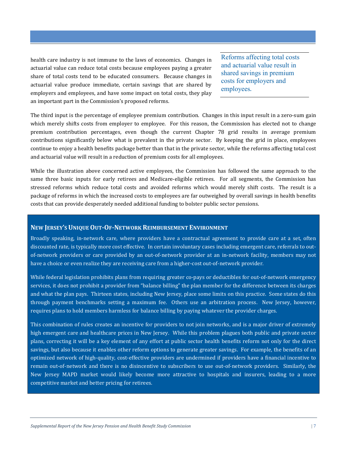health care industry is not immune to the laws of economics. Changes in actuarial value can reduce total costs because employees paying a greater share of total costs tend to be educated consumers. Because changes in actuarial value produce immediate, certain savings that are shared by employers and employees, and have some impact on total costs, they play an important part in the Commission's proposed reforms.

Reforms affecting total costs and actuarial value result in shared savings in premium costs for employers and employees.

The third input is the percentage of employee premium contribution. Changes in this input result in a zero-sum gain which merely shifts costs from employer to employee. For this reason, the Commission has elected not to change premium contribution percentages, even though the current Chapter 78 grid results in average premium contributions significantly below what is prevalent in the private sector. By keeping the grid in place, employees continue to enjoy a health benefits package better than that in the private sector, while the reforms affecting total cost and actuarial value will result in a reduction of premium costs for all employees.

While the illustration above concerned active employees, the Commission has followed the same approach to the same three basic inputs for early retirees and Medicare-eligible retirees. For all segments, the Commission has stressed reforms which reduce total costs and avoided reforms which would merely shift costs. The result is a package of reforms in which the increased costs to employees are far outweighed by overall savings in health benefits costs that can provide desperately needed additional funding to bolster public sector pensions.

# **NEW JERSEY'S UNIQUE OUT-OF-NETWORK REIMBURSEMENT ENVIRONMENT**

Broadly speaking, in-network care, where providers have a contractual agreement to provide care at a set, often discounted rate, is typically more cost effective. In certain involuntary cases including emergent care, referrals to outof-network providers or care provided by an out-of-network provider at an in-network facility, members may not have a choice or even realize they are receiving care from a higher-cost out-of-network provider.

While federal legislation prohibits plans from requiring greater co-pays or deductibles for out-of-network emergency services, it does not prohibit a provider from "balance billing" the plan member for the difference between its charges and what the plan pays. Thirteen states, including New Jersey, place some limits on this practice. Some states do this through payment benchmarks setting a maximum fee. Others use an arbitration process. New Jersey, however, requires plans to hold members harmless for balance billing by paying whatever the provider charges.

This combination of rules creates an incentive for providers to not join networks, and is a major driver of extremely high emergent care and healthcare prices in New Jersey. While this problem plagues both public and private sector plans, correcting it will be a key element of any effort at public sector health benefits reform not only for the direct savings, but also because it enables other reform options to generate greater savings. For example, the benefits of an optimized network of high-quality, cost-effective providers are undermined if providers have a financial incentive to remain out-of-network and there is no disincentive to subscribers to use out-of-network providers. Similarly, the New Jersey MAPD market would likely become more attractive to hospitals and insurers, leading to a more competitive market and better pricing for retirees.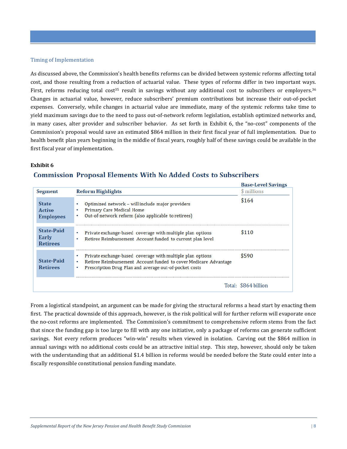#### Timing of Implementation

As discussed above, the Commission's health benefits reforms can be divided between systemic reforms affecting total cost, and those resulting from a reduction of actuarial value. These types of reforms differ in two important ways. First, reforms reducing total cost<sup>35</sup> result in savings without any additional cost to subscribers or employers.<sup>36</sup> Changes in actuarial value, however, reduce subscribers' premium contributions but increase their out-of-pocket expenses. Conversely, while changes in actuarial value are immediate, many of the systemic reforms take time to yield maximum savings due to the need to pass out-of-network reform legislation, establish optimized networks and, in many cases, alter provider and subscriber behavior. As set forth in Exhibit 6, the "no-cost" components of the Commission's proposal would save an estimated \$864 million in their first fiscal year of full implementation. Due to health benefit plan years beginning in the middle of fiscal years, roughly half of these savings could be available in the first fiscal year of implementation.

# **Exhibit 6**

#### **Base-Level Savings Segment Reform Highlights** \$ millions \$164 **State** Optimized network - will include major providers Primary Care Medical Home **Active**  $\bullet$ Out-of-network reform (also applicable to retirees) **Employees State-Paid**  $$110$  $\ddot{\phantom{0}}$ Private exchange-based coverage with multiple plan options Early Retiree Reimbursement Account funded to current plan level **Retirees** Private exchange-based coverage with multiple plan options \$590 **State-Paid** Retiree Reimbursement Account funded to cover Medicare Advantage **Retirees** ÷. Prescription Drug Plan and average out-of-pocket costs Total: \$864 billion

# **Commission Proposal Elements With No Added Costs to Subscribers**

From a logistical standpoint, an argument can be made for giving the structural reforms a head start by enacting them first. The practical downside of this approach, however, is the risk political will for further reform will evaporate once the no-cost reforms are implemented. The Commission's commitment to comprehensive reform stems from the fact that since the funding gap is too large to fill with any one initiative, only a package of reforms can generate sufficient savings. Not every reform produces "win-win" results when viewed in isolation. Carving out the \$864 million in annual savings with no additional costs could be an attractive initial step. This step, however, should only be taken with the understanding that an additional \$1.4 billion in reforms would be needed before the State could enter into a fiscally responsible constitutional pension funding mandate.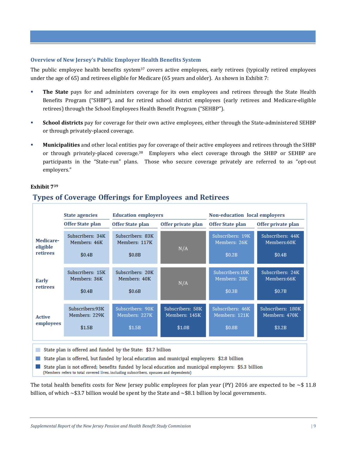#### **Overview of New Jersey's Public Employer Health Benefits System**

The public employee health benefits system<sup>37</sup> covers active employees, early retirees (typically retired employees under the age of 65) and retirees eligible for Medicare (65 years and older). As shown in Exhibit 7:

- **The State** pays for and administers coverage for its own employees and retirees through the State Health Benefits Program ("SHBP"), and for retired school district employees (early retirees and Medicare-eligible retirees) through the School Employees Health Benefit Program ("SEHBP").
- **School districts** pay for coverage for their own active employees, either through the State-administered SEHBP or through privately-placed coverage.
- **Municipalities** and other local entities pay for coverage of their active employees and retirees through the SHBP or through privately-placed coverage.38 Employers who elect coverage through the SHBP or SEHBP are participants in the "State-run" plans. Those who secure coverage privately are referred to as "opt-out employers."

#### **Exhibit 7<sup>39</sup>**

# **Types of Coverage Offerings for Employees and Retirees**

|                                                                                                                                                                                                                                                                                                                                                               | <b>State agencies</b>                      | <b>Education employers</b>                  |                    | Non-education local employers              |                                           |  |
|---------------------------------------------------------------------------------------------------------------------------------------------------------------------------------------------------------------------------------------------------------------------------------------------------------------------------------------------------------------|--------------------------------------------|---------------------------------------------|--------------------|--------------------------------------------|-------------------------------------------|--|
|                                                                                                                                                                                                                                                                                                                                                               | Offer State plan                           | Offer State plan                            | Offer private plan | Offer State plan<br>Offer private plan     |                                           |  |
| Medicare-<br>eligible<br>retirees                                                                                                                                                                                                                                                                                                                             | Subscribers: 34K<br>Members: 46K<br>\$0.4B | Subscribers: 83K<br>Members: 117K<br>\$0.8B | N/A                | Subscribers: 19K<br>Members: 26K<br>\$0.2B | Subscribers: 44K<br>Members:60K<br>\$0.4B |  |
| <b>Early</b><br>retirees                                                                                                                                                                                                                                                                                                                                      | Subscribers: 15K<br>Members: 36K<br>\$0.4B | Subscribers: 20K<br>Members: 40K<br>\$0.6B  | N/A                | Subscribers: 10K<br>Members: 28K<br>\$0.3B | Subscribers: 24K<br>Members:66K<br>\$0.7B |  |
| Subscribers: 90K<br>Subscribers: 58K<br>Subscribers: 46K<br>Subscribers: 180K<br>Subscribers:93K<br>Members: 229K<br>Members: 227K<br>Members: 145K<br>Members: 121K<br>Members: 470K<br><b>Active</b><br>employees<br>\$1.0B<br>\$0.8B<br>\$3.2B<br>\$1.5B<br>\$1.5B                                                                                         |                                            |                                             |                    |                                            |                                           |  |
| State plan is offered and funded by the State: \$3.7 billion<br>State plan is offered, but funded by local education and municipal employers: \$2.8 billion<br>State plan is not offered; benefits funded by local education and municipal employers: \$5.3 billion<br>(Members refers to total covered lives, including subscribers, spouses and dependents) |                                            |                                             |                    |                                            |                                           |  |

The total health benefits costs for New Jersey public employees for plan year (PY) 2016 are expected to be  $\sim$ \$11.8 billion, of which  $\sim$  \$3.7 billion would be spent by the State and  $\sim$  \$8.1 billion by local governments.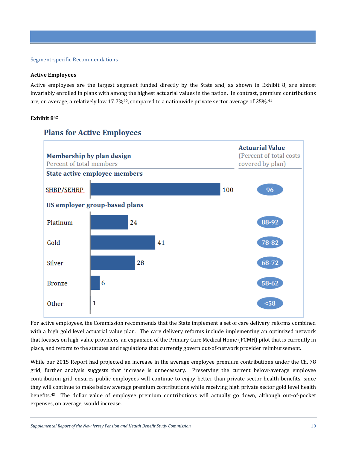#### Segment-specific Recommendations

#### **Active Employees**

Active employees are the largest segment funded directly by the State and, as shown in Exhibit 8, are almost invariably enrolled in plans with among the highest actuarial values in the nation. In contrast, premium contributions are, on average, a relatively low 17.7% $40$ , compared to a nationwide private sector average of 25% $41$ 

## **Exhibit 8<sup>42</sup>**



**Plans for Active Employees** 

For active employees, the Commission recommends that the State implement a set of care delivery reforms combined with a high gold level actuarial value plan. The care delivery reforms include implementing an optimized network that focuses on high-value providers, an expansion of the Primary Care Medical Home (PCMH) pilot that is currently in place, and reform to the statutes and regulations that currently govern out-of-network provider reimbursement.

While our 2015 Report had projected an increase in the average employee premium contributions under the Ch. 78 grid, further analysis suggests that increase is unnecessary. Preserving the current below-average employee contribution grid ensures public employees will continue to enjoy better than private sector health benefits, since they will continue to make below average premium contributions while receiving high private sector gold level health benefits.43 The dollar value of employee premium contributions will actually go down, although out-of-pocket expenses, on average, would increase.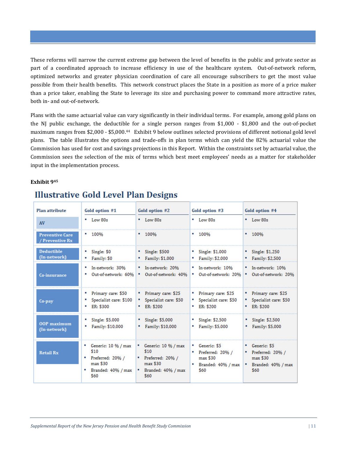These reforms will narrow the current extreme gap between the level of benefits in the public and private sector as part of a coordinated approach to increase efficiency in use of the healthcare system. Out-of-network reform, optimized networks and greater physician coordination of care all encourage subscribers to get the most value possible from their health benefits. This network construct places the State in a position as more of a price maker than a price taker*,* enabling the State to leverage its size and purchasing power to command more attractive rates, both in- and out-of-network.

Plans with the same actuarial value can vary significantly in their individual terms. For example, among gold plans on the NJ public exchange, the deductible for a single person ranges from \$1,000 - \$1,800 and the out-of-pocket maximum ranges from \$2,000 - \$5,000.44 Exhibit 9 below outlines selected provisions of different notional gold level plans. The table illustrates the options and trade-offs in plan terms which can yield the 82% actuarial value the Commission has used for cost and savings projections in this Report. Within the constraints set by actuarial value, the Commission sees the selection of the mix of terms which best meet employees' needs as a matter for stakeholder input in the implementation process.

### **Exhibit 945**

# **Illustrative Gold Level Plan Designs**

| <b>Plan attribute</b><br>Gold option #1 |                                                                                                    | Gold option #2                                                                                       | Gold option #3                                                                 | Gold option #4                                                                     |  |
|-----------------------------------------|----------------------------------------------------------------------------------------------------|------------------------------------------------------------------------------------------------------|--------------------------------------------------------------------------------|------------------------------------------------------------------------------------|--|
| AV                                      | $-Low80s$                                                                                          | $\blacksquare$ Low 80s                                                                               | $-Low80s$                                                                      | $-Low 80s$                                                                         |  |
| <b>Preventive Care</b><br>Preventive Rx | $-100%$                                                                                            | $-100%$                                                                                              | $-100%$                                                                        | $-100%$                                                                            |  |
| <b>Deductible</b><br>(In-network)       | " Single: \$0<br>Family: \$0                                                                       | $\blacksquare$ Single: \$500<br>" Family: \$1,000                                                    | $\sim$ Single: \$1,000<br>" Family: \$2,000                                    | $\sim$ Single: \$1,250<br>" Family: \$2,500                                        |  |
| Co-insurance                            | In-network: 30%<br>Out-of-network: 60%                                                             | * In-network: 20%<br><sup>*</sup> Out-of-network: 40%                                                | * In-network: 10%<br>Out-of-network: 20%<br>. .                                | * In-network: 10%<br>Out-of-network: 20%<br>м.                                     |  |
| Co-pay                                  | " Primary care: \$50<br>Specialist care: \$100<br>$E$ ER: \$300                                    | " Primary care: \$25<br>" Specialist care: \$50<br>$E$ ER: \$200                                     | " Primary care: \$25<br>" Specialist care: \$50<br>$E$ ER: \$200               | " Primary care: \$25<br>" Specialist care: \$50<br>$E$ ER: \$200                   |  |
| 00P maximum<br>(In-network)             | Single: \$5,000<br>Family: \$10,000                                                                | $\blacksquare$ Single: \$5,000<br>" Family: \$10,000                                                 | $\sim$ Single: \$2,500<br>" Family: \$5,000                                    | $\cdot$ Single: \$2,500<br>" Family: \$5,000                                       |  |
| <b>Retail Rx</b>                        | Generic: $10\%$ / max<br>\$10<br>" Preferred: 20% /<br>max \$30<br>п<br>Branded: 40% / max<br>\$60 | " Generic: $10\%$ / max<br>\$10<br>" Preferred: $20\%$ /<br>max \$30<br>" Branded: 40% / max<br>\$60 | " Generic: \$5<br>Preferred: 20% /<br>$max$ \$30<br>Branded: 40% / max<br>\$60 | Generic: \$5<br>" Preferred: 20% /<br>max \$30<br>Branded: 40% / max<br>н.<br>\$60 |  |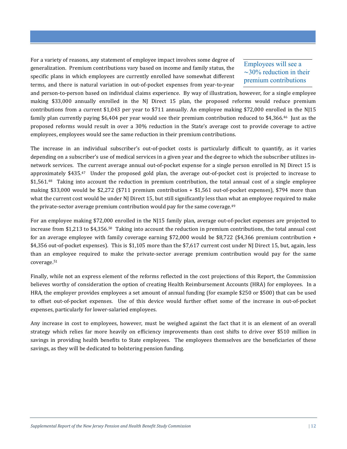For a variety of reasons, any statement of employee impact involves some degree of generalization. Premium contributions vary based on income and family status, the specific plans in which employees are currently enrolled have somewhat different terms, and there is natural variation in out-of-pocket expenses from year-to-year

# Employees will see a ∼30% reduction in their premium contributions

and person-to-person based on individual claims experience. By way of illustration, however, for a single employee making \$33,000 annually enrolled in the NJ Direct 15 plan, the proposed reforms would reduce premium contributions from a current \$1,043 per year to \$711 annually. An employee making \$72,000 enrolled in the NJ15 family plan currently paying \$6,404 per year would see their premium contribution reduced to \$4,366.<sup>46</sup> Just as the proposed reforms would result in over a 30% reduction in the State's average cost to provide coverage to active employees, employees would see the same reduction in their premium contributions.

The increase in an individual subscriber's out-of-pocket costs is particularly difficult to quantify, as it varies depending on a subscriber's use of medical services in a given year and the degree to which the subscriber utilizes innetwork services. The current average annual out-of-pocket expense for a single person enrolled in NJ Direct 15 is approximately \$435.47 Under the proposed gold plan, the average out-of-pocket cost is projected to increase to \$1,561.<sup>48</sup> Taking into account the reduction in premium contribution, the total annual cost of a single employee making \$33,000 would be \$2,272 (\$711 premium contribution + \$1,561 out-of-pocket expenses), \$794 more than what the current cost would be under NJ Direct 15, but still significantly less than what an employee required to make the private-sector average premium contribution would pay for the same coverage.<sup>49</sup>

For an employee making \$72,000 enrolled in the NJ15 family plan, average out-of-pocket expenses are projected to increase from \$1,213 to \$4,356.50 Taking into account the reduction in premium contributions, the total annual cost for an average employee with family coverage earning \$72,000 would be \$8,722 (\$4,366 premium contribution + \$4,356 out-of-pocket expenses). This is \$1,105 more than the \$7,617 current cost under NJ Direct 15, but, again, less than an employee required to make the private-sector average premium contribution would pay for the same coverage.<sup>51</sup>

Finally, while not an express element of the reforms reflected in the cost projections of this Report, the Commission believes worthy of consideration the option of creating Health Reimbursement Accounts (HRA) for employees. In a HRA, the employer provides employees a set amount of annual funding (for example \$250 or \$500) that can be used to offset out-of-pocket expenses. Use of this device would further offset some of the increase in out-of-pocket expenses, particularly for lower-salaried employees.

Any increase in cost to employees, however, must be weighed against the fact that it is an element of an overall strategy which relies far more heavily on efficiency improvements than cost shifts to drive over \$510 million in savings in providing health benefits to State employees. The employees themselves are the beneficiaries of these savings, as they will be dedicated to bolstering pension funding.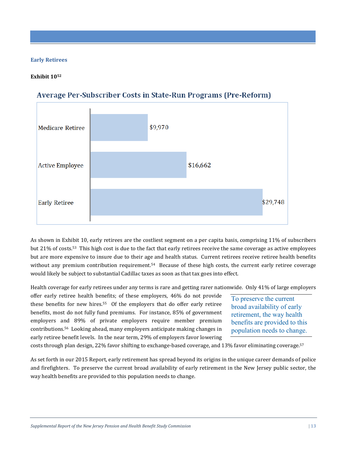#### **Early Retirees**

#### **Exhibit 10<sup>52</sup>**



# Average Per-Subscriber Costs in State-Run Programs (Pre-Reform)

As shown in Exhibit 10, early retirees are the costliest segment on a per capita basis, comprising 11% of subscribers but 21% of costs.53 This high cost is due to the fact that early retirees receive the same coverage as active employees but are more expensive to insure due to their age and health status. Current retirees receive retiree health benefits without any premium contribution requirement.<sup>54</sup> Because of these high costs, the current early retiree coverage would likely be subject to substantial Cadillac taxes as soon as that tax goes into effect.

Health coverage for early retirees under any terms is rare and getting rarer nationwide. Only 41% of large employers

offer early retiree health benefits; of these employers, 46% do not provide these benefits for new hires.<sup>55</sup> Of the employers that do offer early retiree benefits, most do not fully fund premiums. For instance, 85% of government employers and 89% of private employers require member premium contributions.56 Looking ahead, many employers anticipate making changes in early retiree benefit levels. In the near term, 29% of employers favor lowering

To preserve the current broad availability of early retirement, the way health benefits are provided to this population needs to change.

costs through plan design, 22% favor shifting to exchange-based coverage, and 13% favor eliminating coverage.<sup>57</sup>

As set forth in our 2015 Report, early retirement has spread beyond its origins in the unique career demands of police and firefighters. To preserve the current broad availability of early retirement in the New Jersey public sector, the way health benefits are provided to this population needs to change.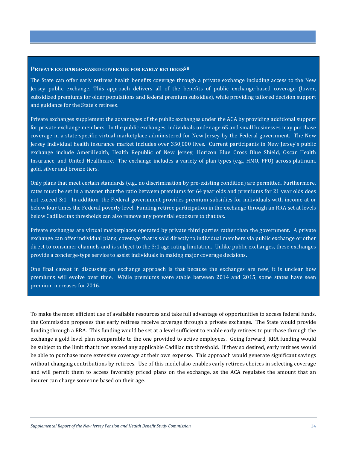#### **PRIVATE EXCHANGE-BASED COVERAGE FOR EARLY RETIREES<sup>58</sup>**

The State can offer early retirees health benefits coverage through a private exchange including access to the New Jersey public exchange. This approach delivers all of the benefits of public exchange-based coverage (lower, subsidized premiums for older populations and federal premium subsidies), while providing tailored decision support and guidance for the State's retirees.

Private exchanges supplement the advantages of the public exchanges under the ACA by providing additional support for private exchange members. In the public exchanges, individuals under age 65 and small businesses may purchase coverage in a state-specific virtual marketplace administered for New Jersey by the Federal government. The New Jersey individual health insurance market includes over 350,000 lives. Current participants in New Jersey's public exchange include AmeriHealth, Health Republic of New Jersey, Horizon Blue Cross Blue Shield, Oscar Health Insurance, and United Healthcare. The exchange includes a variety of plan types (e.g., HMO, PPO) across platinum, gold, silver and bronze tiers.

Only plans that meet certain standards (e.g., no discrimination by pre-existing condition) are permitted. Furthermore, rates must be set in a manner that the ratio between premiums for 64 year olds and premiums for 21 year olds does not exceed 3:1. In addition, the Federal government provides premium subsidies for individuals with income at or below four times the Federal poverty level. Funding retiree participation in the exchange through an RRA set at levels below Cadillac tax thresholds can also remove any potential exposure to that tax.

Private exchanges are virtual marketplaces operated by private third parties rather than the government. A private exchange can offer individual plans, coverage that is sold directly to individual members via public exchange or other direct to consumer channels and is subject to the 3:1 age rating limitation. Unlike public exchanges, these exchanges provide a concierge-type service to assist individuals in making major coverage decisions.

One final caveat in discussing an exchange approach is that because the exchanges are new, it is unclear how premiums will evolve over time. While premiums were stable between 2014 and 2015, some states have seen premium increases for 2016.

To make the most efficient use of available resources and take full advantage of opportunities to access federal funds, the Commission proposes that early retirees receive coverage through a private exchange. The State would provide funding through a RRA. This funding would be set at a level sufficient to enable early retirees to purchase through the exchange a gold level plan comparable to the one provided to active employees. Going forward, RRA funding would be subject to the limit that it not exceed any applicable Cadillac tax threshold. If they so desired, early retirees would be able to purchase more extensive coverage at their own expense. This approach would generate significant savings without changing contributions by retirees. Use of this model also enables early retirees choices in selecting coverage and will permit them to access favorably priced plans on the exchange, as the ACA regulates the amount that an insurer can charge someone based on their age.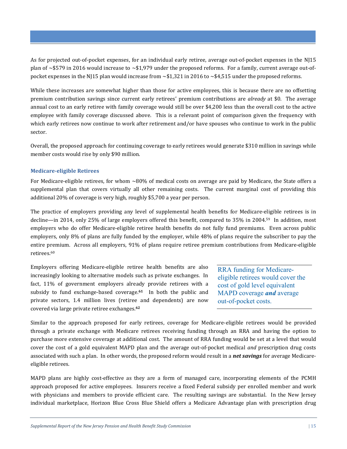As for projected out-of-pocket expenses, for an individual early retiree, average out-of-pocket expenses in the NJ15 plan of  $\sim$ \$579 in 2016 would increase to  $\sim$ \$1,979 under the proposed reforms. For a family, current average out-ofpocket expenses in the NJ15 plan would increase from  $\sim$ \$1,321 in 2016 to  $\sim$ \$4,515 under the proposed reforms.

While these increases are somewhat higher than those for active employees, this is because there are no offsetting premium contribution savings since current early retirees' premium contributions are *already* at \$0. The average annual cost to an early retiree with family coverage would still be over \$4,200 less than the overall cost to the active employee with family coverage discussed above. This is a relevant point of comparison given the frequency with which early retirees now continue to work after retirement and/or have spouses who continue to work in the public sector.

Overall, the proposed approach for continuing coverage to early retirees would generate \$310 million in savings while member costs would rise by only \$90 million.

# **Medicare-eligible Retirees**

For Medicare-eligible retirees, for whom ~80% of medical costs on average are paid by Medicare, the State offers a supplemental plan that covers virtually all other remaining costs. The current marginal cost of providing this additional 20% of coverage is very high, roughly \$5,700 a year per person.

The practice of employers providing any level of supplemental health benefits for Medicare-eligible retirees is in decline—in 2014, only 25% of large employers offered this benefit, compared to 35% in 2004.59 In addition, most employers who do offer Medicare-eligible retiree health benefits do not fully fund premiums. Even across public employers, only 8% of plans are fully funded by the employer, while 48% of plans require the subscriber to pay the entire premium. Across all employers, 91% of plans require retiree premium contributions from Medicare-eligible retirees.<sup>60</sup>

Employers offering Medicare-eligible retiree health benefits are also increasingly looking to alternative models such as private exchanges. In fact, 11% of government employers already provide retirees with a subsidy to fund exchange-based coverage.**61** In both the public and private sectors, 1.4 million lives (retiree and dependents) are now covered via large private retiree exchanges.**<sup>62</sup>**

RRA funding for Medicareeligible retirees would cover the cost of gold level equivalent MAPD coverage *and* average out-of-pocket costs.

Similar to the approach proposed for early retirees, coverage for Medicare-eligible retirees would be provided through a private exchange with Medicare retirees receiving funding through an RRA and having the option to purchase more extensive coverage at additional cost. The amount of RRA funding would be set at a level that would cover the cost of a gold equivalent MAPD plan and the average out-of-pocket medical *and* prescription drug costs associated with such a plan. In other words, the proposed reform would result in a *net savings* for average Medicareeligible retirees.

MAPD plans are highly cost-effective as they are a form of managed care, incorporating elements of the PCMH approach proposed for active employees. Insurers receive a fixed Federal subsidy per enrolled member and work with physicians and members to provide efficient care. The resulting savings are substantial. In the New Jersey individual marketplace, Horizon Blue Cross Blue Shield offers a Medicare Advantage plan with prescription drug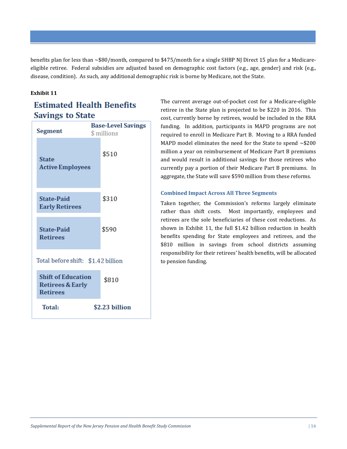benefits plan for less than ~\$80/month, compared to \$475/month for a single SHBP NJ Direct 15 plan for a Medicareeligible retiree. Federal subsidies are adjusted based on demographic cost factors (e.g., age, gender) and risk (e.g., disease, condition). As such, any additional demographic risk is borne by Medicare, not the State.

# **Exhibit 11**

# **Estimated Health Benefits Savings to State**

| Segment                                                                     | <b>Base-Level Savings</b><br>\$ millions |
|-----------------------------------------------------------------------------|------------------------------------------|
| <b>State</b><br><b>Active Employees</b>                                     | \$510                                    |
| <b>State-Paid</b><br><b>Early Retirees</b>                                  | \$310                                    |
| <b>State-Paid</b><br><b>Retirees</b>                                        | \$590                                    |
| Total before shift: \$1.42 billion                                          |                                          |
| <b>Shift of Education</b><br><b>Retirees &amp; Early</b><br><b>Retirees</b> | \$810                                    |
| <b>Total:</b>                                                               | \$2.23 billion                           |

The current average out-of-pocket cost for a Medicare-eligible retiree in the State plan is projected to be \$220 in 2016. This cost, currently borne by retirees, would be included in the RRA funding. In addition, participants in MAPD programs are not required to enroll in Medicare Part B. Moving to a RRA funded MAPD model eliminates the need for the State to spend ∼\$200 million a year on reimbursement of Medicare Part B premiums and would result in additional savings for those retirees who currently pay a portion of their Medicare Part B premiums. In aggregate, the State will save \$590 million from these reforms.

# **Combined Impact Across All Three Segments**

Taken together, the Commission's reforms largely eliminate rather than shift costs. Most importantly, employees and retirees are the sole beneficiaries of these cost reductions. As shown in Exhibit 11, the full \$1.42 billion reduction in health benefits spending for State employees and retirees, and the \$810 million in savings from school districts assuming responsibility for their retirees' health benefits, will be allocated to pension funding.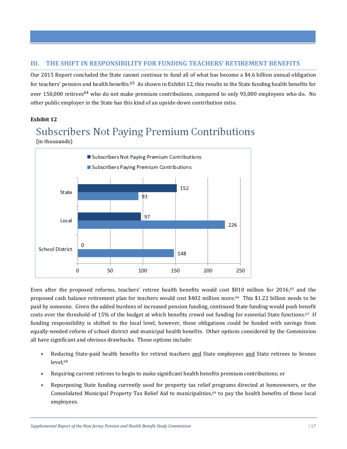# **III. THE SHIFT IN RESPONSIBILITY FOR FUNDING TEACHERS' RETIREMENT BENEFITS**

Our 2015 Report concluded the State cannot continue to fund all of what has become a \$4.6 billion annual obligation for teachers' pension and health benefits.<sup>63</sup> As shown in Exhibit 12, this results in the State funding health benefits for over 150,000 retirees<sup>64</sup> who do not make premium contributions, compared to only 93,000 employees who do. No other public employer in the State has this kind of an upside-down contribution ratio.

# **Exhibit 12**

# Subscribers Not Paying Premium Contributions (in thousands)



Even after the proposed reforms, teachers' retiree health benefits would cost \$810 million for 2016,65 and the proposed cash balance retirement plan for teachers would cost \$402 million more.66 This \$1.22 billion needs to be paid by someone. Given the added burdens of increased pension funding, continued State funding would push benefit costs over the threshold of 15% of the budget at which benefits crowd out funding for essential State functions.67 If funding responsibility is shifted to the local level, however, these obligations could be funded with savings from equally-needed reform of school district and municipal health benefits. Other options considered by the Commission all have significant and obvious drawbacks. Those options include:

- Reducing State-paid health benefits for retired teachers and State employees and State retirees to bronze level;<sup>68</sup>
- Requiring current retirees to begin to make significant health benefits premium contributions; or
- Repurposing State funding currently used for property tax relief programs directed at homeowners, or the Consolidated Municipal Property Tax Relief Aid to municipalities,<sup>69</sup> to pay the health benefits of these local employees.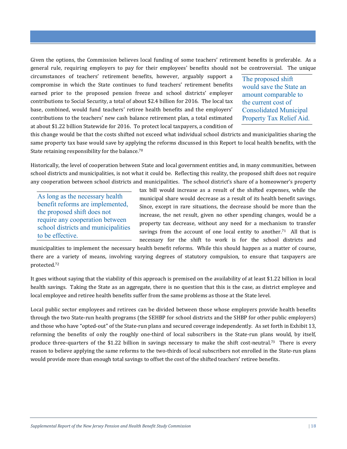Given the options, the Commission believes local funding of some teachers' retirement benefits is preferable. As a general rule, requiring employers to pay for their employees' benefits should not be controversial. The unique

circumstances of teachers' retirement benefits, however, arguably support a compromise in which the State continues to fund teachers' retirement benefits earned prior to the proposed pension freeze and school districts' employer contributions to Social Security, a total of about \$2.4 billion for 2016. The local tax base, combined, would fund teachers' retiree health benefits and the employers' contributions to the teachers' new cash balance retirement plan, a total estimated at about \$1.22 billion Statewide for 2016. To protect local taxpayers, a condition of

The proposed shift would save the State an amount comparable to the current cost of Consolidated Municipal Property Tax Relief Aid.

this change would be that the costs shifted not exceed what individual school districts and municipalities sharing the same property tax base would save by applying the reforms discussed in this Report to local health benefits, with the State retaining responsibility for the balance.<sup>70</sup>

Historically, the level of cooperation between State and local government entities and, in many communities, between school districts and municipalities, is not what it could be. Reflecting this reality, the proposed shift does not require any cooperation between school districts and municipalities. The school district's share of a homeowner's property

As long as the necessary health benefit reforms are implemented, the proposed shift does not require any cooperation between school districts and municipalities to be effective.

tax bill would increase as a result of the shifted expenses, while the municipal share would decrease as a result of its health benefit savings. Since, except in rare situations, the decrease should be more than the increase, the net result, given no other spending changes, would be a property tax decrease, without any need for a mechanism to transfer savings from the account of one local entity to another.<sup>71</sup> All that is necessary for the shift to work is for the school districts and

municipalities to implement the necessary health benefit reforms. While this should happen as a matter of course, there are a variety of means, involving varying degrees of statutory compulsion, to ensure that taxpayers are protected.<sup>72</sup>

It goes without saying that the viability of this approach is premised on the availability of at least \$1.22 billion in local health savings. Taking the State as an aggregate, there is no question that this is the case, as district employee and local employee and retiree health benefits suffer from the same problems as those at the State level.

Local public sector employees and retirees can be divided between those whose employers provide health benefits through the two State-run health programs (the SEHBP for school districts and the SHBP for other public employers) and those who have "opted-out" of the State-run plans and secured coverage independently. As set forth in Exhibit 13, reforming the benefits of only the roughly one-third of local subscribers in the State-run plans would, by itself, produce three-quarters of the \$1.22 billion in savings necessary to make the shift cost-neutral.73 There is every reason to believe applying the same reforms to the two-thirds of local subscribers not enrolled in the State-run plans would provide more than enough total savings to offset the cost of the shifted teachers' retiree benefits.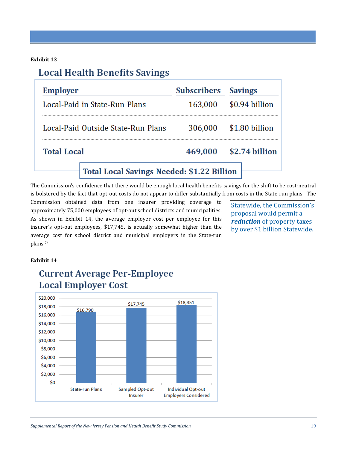# **Exhibit 13**

# **Local Health Benefits Savings**

| <b>Employer</b>                                   | <b>Subscribers</b> | <b>Savings</b> |  |  |
|---------------------------------------------------|--------------------|----------------|--|--|
| Local-Paid in State-Run Plans                     | 163,000            | \$0.94 billion |  |  |
| Local-Paid Outside State-Run Plans                | 306,000            | \$1.80 billion |  |  |
| <b>Total Local</b>                                | 469,000            | \$2.74 billion |  |  |
| <b>Total Local Savings Needed: \$1.22 Billion</b> |                    |                |  |  |

The Commission's confidence that there would be enough local health benefits savings for the shift to be cost-neutral is bolstered by the fact that opt-out costs do not appear to differ substantially from costs in the State-run plans. The

Commission obtained data from one insurer providing coverage to approximately 75,000 employees of opt-out school districts and municipalities. As shown in Exhibit 14, the average employer cost per employee for this insurer's opt-out employees, \$17,745, is actually somewhat higher than the average cost for school district and municipal employers in the State-run plans.<sup>74</sup>

Statewide, the Commission's proposal would permit a *reduction* of property taxes by over \$1 billion Statewide.

## **Exhibit 14**



# **Current Average Per-Employee Local Employer Cost**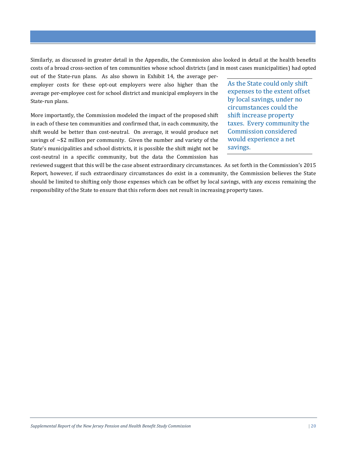Similarly, as discussed in greater detail in the Appendix, the Commission also looked in detail at the health benefits costs of a broad cross-section of ten communities whose school districts (and in most cases municipalities) had opted

out of the State-run plans. As also shown in Exhibit 14, the average peremployer costs for these opt-out employers were also higher than the average per-employee cost for school district and municipal employers in the State-run plans.

More importantly, the Commission modeled the impact of the proposed shift in each of these ten communities and confirmed that, in each community, the shift would be better than cost-neutral. On average, it would produce net savings of  $\sim$ \$2 million per community. Given the number and variety of the State's municipalities and school districts, it is possible the shift might not be cost-neutral in a specific community, but the data the Commission has

As the State could only shift expenses to the extent offset by local savings, under no circumstances could the shift increase property taxes. Every community the Commission considered would experience a net savings.

reviewed suggest that this will be the case absent extraordinary circumstances. As set forth in the Commission's 2015 Report, however, if such extraordinary circumstances do exist in a community, the Commission believes the State should be limited to shifting only those expenses which can be offset by local savings, with any excess remaining the responsibility of the State to ensure that this reform does not result in increasing property taxes.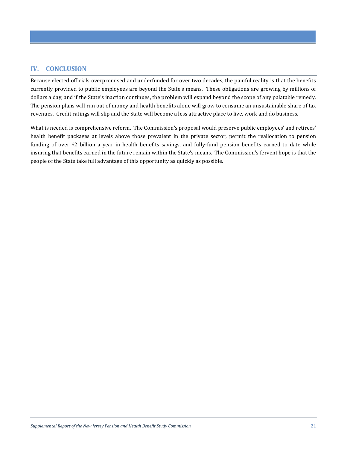# **IV. CONCLUSION**

Because elected officials overpromised and underfunded for over two decades, the painful reality is that the benefits currently provided to public employees are beyond the State's means. These obligations are growing by millions of dollars a day, and if the State's inaction continues, the problem will expand beyond the scope of any palatable remedy. The pension plans will run out of money and health benefits alone will grow to consume an unsustainable share of tax revenues. Credit ratings will slip and the State will become a less attractive place to live, work and do business.

What is needed is comprehensive reform. The Commission's proposal would preserve public employees' and retirees' health benefit packages at levels above those prevalent in the private sector, permit the reallocation to pension funding of over \$2 billion a year in health benefits savings, and fully-fund pension benefits earned to date while insuring that benefits earned in the future remain within the State's means. The Commission's fervent hope is that the people of the State take full advantage of this opportunity as quickly as possible.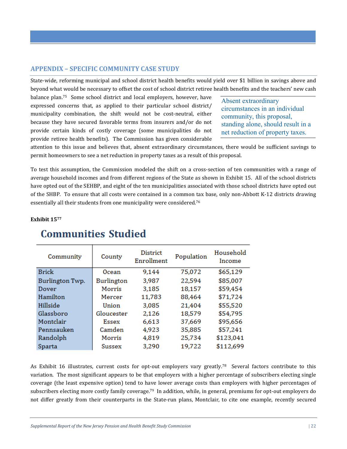# **APPENDIX – SPECIFIC COMMUNITY CASE STUDY**

State-wide, reforming municipal and school district health benefits would yield over \$1 billion in savings above and beyond what would be necessary to offset the cost of school district retiree health benefits and the teachers' new cash

balance plan.75 Some school district and local employers, however, have expressed concerns that, as applied to their particular school district/ municipality combination, the shift would not be cost-neutral, either because they have secured favorable terms from insurers and/or do not provide certain kinds of costly coverage (some municipalities do not provide retiree health benefits). The Commission has given considerable

Absent extraordinary circumstances in an individual community, this proposal, standing alone, should result in a net reduction of property taxes.

attention to this issue and believes that, absent extraordinary circumstances, there would be sufficient savings to permit homeowners to see a net reduction in property taxes as a result of this proposal.

To test this assumption, the Commission modeled the shift on a cross-section of ten communities with a range of average household incomes and from different regions of the State as shown in Exhibit 15. All of the school districts have opted out of the SEHBP, and eight of the ten municipalities associated with those school districts have opted out of the SHBP. To ensure that all costs were contained in a common tax base, only non-Abbott K-12 districts drawing essentially all their students from one municipality were considered.<sup>76</sup>

# **Exhibit 15<sup>77</sup>**

| Community       | County       | <b>District</b><br>Enrollment | Population | Household<br>Income |
|-----------------|--------------|-------------------------------|------------|---------------------|
| <b>Brick</b>    | Ocean        | 9,144                         | 75,072     | \$65,129            |
| Burlington Twp. | Burlington   | 3,987                         | 22,594     | \$85,007            |
| Dover           | Morris       | 3,185                         | 18,157     | \$59,454            |
| Hamilton        | Mercer       | 11,783                        | 88,464     | \$71,724            |
| Hillside        | Union        | 3,085                         | 21,404     | \$55,520            |
| Glassboro       | Gloucester   | 2,126                         | 18,579     | \$54,795            |
| Montclair       | <b>Essex</b> | 6,613                         | 37,669     | \$95,656            |
| Pennsauken      | Camden       | 4,923                         | 35,885     | \$57,241            |
| Randolph        | Morris       | 4,819                         | 25,734     | \$123,041           |
| Sparta          | Sussex       | 3,290                         | 19,722     | \$112,699           |

# **Communities Studied**

As Exhibit 16 illustrates, current costs for opt-out employers vary greatly.<sup>78</sup> Several factors contribute to this variation. The most significant appears to be that employers with a higher percentage of subscribers electing single coverage (the least expensive option) tend to have lower average costs than employers with higher percentages of subscribers electing more costly family coverage.79 In addition, while, in general, premiums for opt-out employers do not differ greatly from their counterparts in the State-run plans, Montclair, to cite one example, recently secured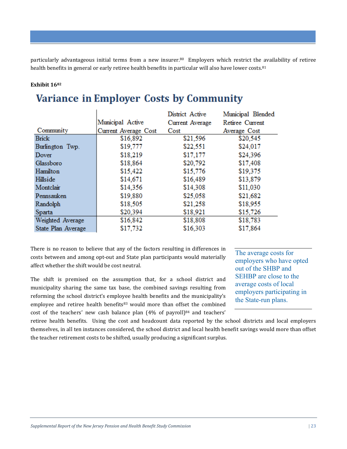particularly advantageous initial terms from a new insurer.80 Employers which restrict the availability of retiree health benefits in general or early retiree health benefits in particular will also have lower costs.<sup>81</sup>

# **Exhibit 16<sup>82</sup>**

# **Variance in Employer Costs by Community**

|                    |                      | District Active | Municipal Blended |
|--------------------|----------------------|-----------------|-------------------|
|                    | Municipal Active     | Current Average | Retiree Current   |
| Community          | Current Average Cost | Cost            | Average Cost      |
| <b>Brick</b>       | \$16,892             | \$21,596        | \$20,545          |
| Burlington Twp.    | \$19,777             | \$22,551        | \$24,017          |
| Dover              | \$18,219             | \$17,177        | \$24,396          |
| Glassboro          | \$18,864             | \$20,792        | \$17,408          |
| Hamilton           | \$15,422             | \$15,776        | \$19,375          |
| Hillside           | \$14,671             | \$16,489        | \$13,879          |
| Montclair          | \$14,356             | \$14,308        | \$11,030          |
| Pennsauken         | \$19,880             | \$25,058        | \$21,682          |
| Randolph           | \$18,505             | \$21,258        | \$18,955          |
| Sparta             | \$20,394             | \$18,921        | \$15,726          |
| Weighted Average   | \$16,842             | \$18,808        | \$18,783          |
| State Plan Average | \$17,732             | \$16,303        | \$17,864          |

There is no reason to believe that any of the factors resulting in differences in costs between and among opt-out and State plan participants would materially affect whether the shift would be cost neutral.

The shift is premised on the assumption that, for a school district and municipality sharing the same tax base, the combined savings resulting from reforming the school district's employee health benefits and the municipality's employee and retiree health benefits<sup>83</sup> would more than offset the combined cost of the teachers' new cash balance plan  $(4\%$  of payroll) $84$  and teachers' The average costs for employers who have opted out of the SHBP and SEHBP are close to the average costs of local employers participating in the State-run plans.

retiree health benefits. Using the cost and headcount data reported by the school districts and local employers themselves, in all ten instances considered, the school district and local health benefit savings would more than offset the teacher retirement costs to be shifted, usually producing a significant surplus.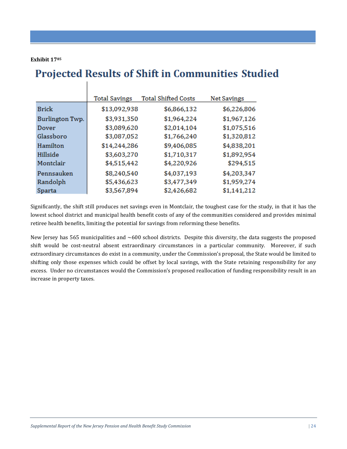#### **Exhibit 17<sup>85</sup>**

# **Projected Results of Shift in Communities Studied**

|                 | <b>Total Savings</b> | <b>Total Shifted Costs</b> | <b>Net Savings</b> |
|-----------------|----------------------|----------------------------|--------------------|
| Brick           | \$13,092,938         | \$6,866,132                | \$6,226,806        |
| Burlington Twp. | \$3,931,350          | \$1,964,224                | \$1,967,126        |
| Dover           | \$3,089,620          | \$2,014,104                | \$1,075,516        |
| Glassboro       | \$3,087,052          | \$1,766,240                | \$1,320,812        |
| Hamilton        | \$14,244,286         | \$9,406,085                | \$4,838,201        |
| Hillside        | \$3,603,270          | \$1,710,317                | \$1,892,954        |
| Montclair       | \$4,515,442          | \$4,220,926                | \$294,515          |
| Pennsauken      | \$8,240,540          | \$4,037,193                | \$4,203,347        |
| Randolph        | \$5,436,623          | \$3,477,349                | \$1,959,274        |
| Sparta          | \$3,567,894          | \$2,426,682                | \$1,141,212        |

Significantly, the shift still produces net savings even in Montclair, the toughest case for the study, in that it has the lowest school district and municipal health benefit costs of any of the communities considered and provides minimal retiree health benefits, limiting the potential for savings from reforming these benefits.

New Jersey has 565 municipalities and ∼600 school districts. Despite this diversity, the data suggests the proposed shift would be cost-neutral absent extraordinary circumstances in a particular community. Moreover, if such extraordinary circumstances do exist in a community, under the Commission's proposal, the State would be limited to shifting only those expenses which could be offset by local savings, with the State retaining responsibility for any excess. Under no circumstances would the Commission's proposed reallocation of funding responsibility result in an increase in property taxes.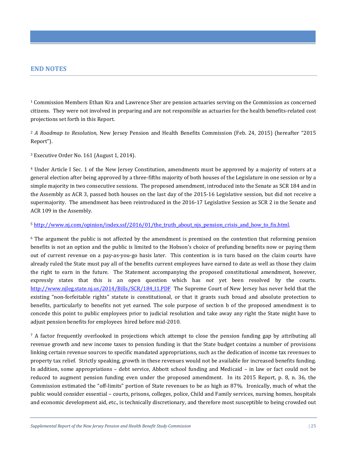# **END NOTES**

<sup>1</sup> Commission Members Ethan Kra and Lawrence Sher are pension actuaries serving on the Commission as concerned citizens. They were not involved in preparing and are not responsible as actuaries for the health benefits-related cost projections set forth in this Report.

<sup>2</sup> *A Roadmap to Resolution*, New Jersey Pension and Health Benefits Commission (Feb. 24, 2015) (hereafter "2015 Report").

<sup>3</sup> Executive Order No. 161 (August 1, 2014).

<sup>4</sup> Under Article I Sec. 1 of the New Jersey Constitution, amendments must be approved by a majority of voters at a general election after being approved by a three-fifths majority of both houses of the Legislature in one session or by a simple majority in two consecutive sessions. The proposed amendment, introduced into the Senate as SCR 184 and in the Assembly as ACR 3, passed both houses on the last day of the 2015-16 Legislative session, but did not receive a supermajority. The amendment has been reintroduced in the 2016-17 Legislative Session as SCR 2 in the Senate and ACR 109 in the Assembly.

### $5$  http://www.nj.com/opinion/index.ssf/2016/01/the truth about njs pension crisis and how to fix.html.

<sup>6</sup> The argument the public is not affected by the amendment is premised on the contention that reforming pension benefits is not an option and the public is limited to the Hobson's choice of prefunding benefits now or paying them out of current revenue on a pay-as-you-go basis later. This contention is in turn based on the claim courts have already ruled the State must pay all of the benefits current employees have earned to date as well as those they claim the right to earn in the future. The Statement accompanying the proposed constitutional amendment, however, expressly states that this is an open question which has *not* yet been resolved by the courts. http://www.njleg.state.nj.us/2014/Bills/SCR/184\_I1.PDF The Supreme Court of New Jersey has never held that the existing "non-forfeitable rights" statute is constitutional, or that it grants such broad and absolute protection to benefits, particularly to benefits not yet earned. The sole purpose of section b of the proposed amendment is to concede this point to public employees prior to judicial resolution and take away any right the State might have to adjust pension benefits for employees hired before mid-2010.

 $\frac{7}{7}$  A factor frequently overlooked in projections which attempt to close the pension funding gap by attributing all revenue growth and new income taxes to pension funding is that the State budget contains a number of provisions linking certain revenue sources to specific mandated appropriations, such as the dedication of income tax revenues to property tax relief. Strictly speaking, growth in these revenues would not be available for increased benefits funding. In addition, some appropriations – debt service, Abbott school funding and Medicaid – in law or fact could not be reduced to augment pension funding even under the proposed amendment. In its 2015 Report, p. 8, n. 36, the Commission estimated the "off-limits" portion of State revenues to be as high as 87%. Ironically, much of what the public would consider essential – courts, prisons, colleges, police, Child and Family services, nursing homes, hospitals and economic development aid, etc., is technically discretionary, and therefore most susceptible to being crowded out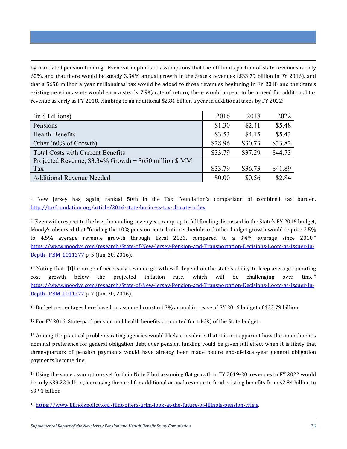by mandated pension funding. Even with optimistic assumptions that the off-limits portion of State revenues is only 60%, and that there would be steady 3.34% annual growth in the State's revenues (\$33.79 billion in FY 2016), and that a \$650 million a year millionaires' tax would be added to those revenues beginning in FY 2018 and the State's existing pension assets would earn a steady 7.9% rate of return, there would appear to be a need for additional tax revenue as early as FY 2018, climbing to an additional \$2.84 billion a year in additional taxes by FY 2022:

<u>.</u>

| (in \$ Billions)                                           | 2016    | 2018    | 2022    |
|------------------------------------------------------------|---------|---------|---------|
| Pensions                                                   | \$1.30  | \$2.41  | \$5.48  |
| <b>Health Benefits</b>                                     | \$3.53  | \$4.15  | \$5.43  |
| Other (60% of Growth)                                      | \$28.96 | \$30.73 | \$33.82 |
| <b>Total Costs with Current Benefits</b>                   | \$33.79 | \$37.29 | \$44.73 |
| Projected Revenue, $$3.34\%$ Growth + $$650$ million $$MM$ |         |         |         |
| Tax                                                        | \$33.79 | \$36.73 | \$41.89 |
| <b>Additional Revenue Needed</b>                           | \$0.00  | \$0.56  | \$2.84  |

<sup>8</sup> New Jersey has, again, ranked 50th in the Tax Foundation's comparison of combined tax burden. http://taxfoundation.org/article/2016-state-business-tax-climate-index

<sup>9</sup> Even with respect to the less demanding seven year ramp-up to full funding discussed in the State's FY 2016 budget, Moody's observed that "funding the 10% pension contribution schedule and other budget growth would require 3.5% to 4.5% average revenue growth through fiscal 2023, compared to a 3.4% average since 2010." https://www.moodys.com/research/State-of-New-Jersey-Pension-and-Transportation-Decisions-Loom-as-Issuer-In-Depth--PBM 1011277 p. 5 (Jan. 20, 2016).

<sup>10</sup> Noting that "[t]he range of necessary revenue growth will depend on the state's ability to keep average operating cost growth below the projected inflation rate, which will be challenging over time." https://www.moodys.com/research/State-of-New-Jersey-Pension-and-Transportation-Decisions-Loom-as-Issuer-In-Depth--PBM\_1011277 p. 7 (Jan. 20, 2016).

<sup>11</sup> Budget percentages here based on assumed constant 3% annual increase of FY 2016 budget of \$33.79 billion.

<sup>12</sup> For FY 2016, State-paid pension and health benefits accounted for 14.3% of the State budget.

<sup>13</sup> Among the practical problems rating agencies would likely consider is that it is not apparent how the amendment's nominal preference for general obligation debt over pension funding could be given full effect when it is likely that three-quarters of pension payments would have already been made before end-of-fiscal-year general obligation payments become due.

<sup>14</sup> Using the same assumptions set forth in Note 7 but assuming flat growth in FY 2019-20, revenues in FY 2022 would be only \$39.22 billion, increasing the need for additional annual revenue to fund existing benefits from \$2.84 billion to \$3.91 billion.

<sup>15</sup> https://www.illinoispolicy.org/flint-offers-grim-look-at-the-future-of-illinois-pension-crisis.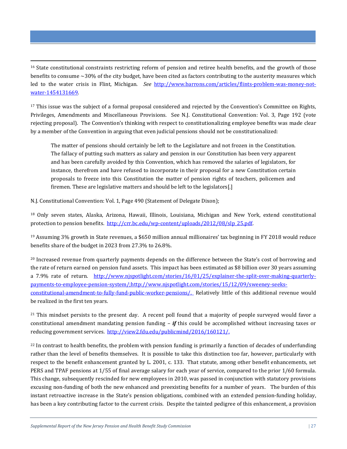<sup>16</sup> State constitutional constraints restricting reform of pension and retiree health benefits, and the growth of those benefits to consume ∼30% of the city budget, have been cited as factors contributing to the austerity measures which led to the water crisis in Flint, Michigan. *See* http://www.barrons.com/articles/flints-problem-was-money-notwater-1454131669.

<sup>17</sup> This issue was the subject of a formal proposal considered and rejected by the Convention's Committee on Rights, Privileges, Amendments and Miscellaneous Provisions. See N.J. Constitutional Convention: Vol. 3, Page 192 (vote rejecting proposal). The Convention's thinking with respect to constitutionalizing employee benefits was made clear by a member of the Convention in arguing that even judicial pensions should not be constitutionalized:

The matter of pensions should certainly be left to the Legislature and not frozen in the Constitution. The fallacy of putting such matters as salary and pension in our Constitution has been very apparent and has been carefully avoided by this Convention, which has removed the salaries of legislators, for instance, therefrom and have refused to incorporate in their proposal for a new Constitution certain proposals to freeze into this Constitution the matter of pension rights of teachers, policemen and firemen. These are legislative matters and should be left to the legislators[.]

N.J. Constitutional Convention: Vol. 1, Page 490 (Statement of Delegate Dixon);

<u>.</u>

<sup>18</sup> Only seven states, Alaska, Arizona, Hawaii, Illinois, Louisiana, Michigan and New York, extend constitutional protection to pension benefits. http://crr.bc.edu/wp-content/uploads/2012/08/slp\_25.pdf.

<sup>19</sup> Assuming 3% growth in State revenues, a \$650 million annual millionaires' tax beginning in FY 2018 would reduce benefits share of the budget in 2023 from 27.3% to 26.8%.

<sup>20</sup> Increased revenue from quarterly payments depends on the difference between the State's cost of borrowing and the rate of return earned on pension fund assets. This impact has been estimated as \$8 billion over 30 years assuming a 7.9% rate of return. http://www.njspotlight.com/stories/16/01/25/explainer-the-split-over-making-quarterlypayments-to-employee-pension-system/;http://www.njspotlight.com/stories/15/12/09/sweeney-seeksconstitutional-amendment-to-fully-fund-public-worker-pensions/. Relatively little of this additional revenue would be realized in the first ten years.

<sup>21</sup> This mindset persists to the present day. A recent poll found that a majority of people surveyed would favor a constitutional amendment mandating pension funding – *if* this could be accomplished without increasing taxes or reducing government services. http://view2.fdu.edu/publicmind/2016/160121/.

 $22$  In contrast to health benefits, the problem with pension funding is primarily a function of decades of underfunding rather than the level of benefits themselves. It is possible to take this distinction too far, however, particularly with respect to the benefit enhancement granted by L. 2001, c. 133. That statute, among other benefit enhancements, set PERS and TPAF pensions at 1/55 of final average salary for each year of service, compared to the prior 1/60 formula. This change, subsequently rescinded for new employees in 2010, was passed in conjunction with statutory provisions excusing non-funding of both the new enhanced and preexisting benefits for a number of years. The burden of this instant retroactive increase in the State's pension obligations, combined with an extended pension-funding holiday, has been a key contributing factor to the current crisis. Despite the tainted pedigree of this enhancement, a provision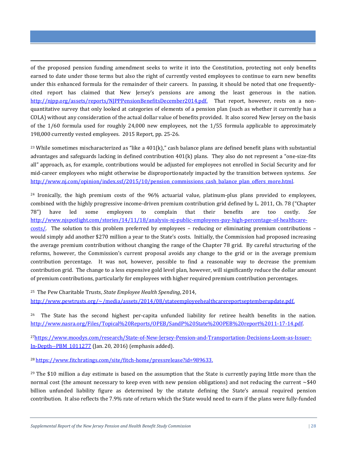of the proposed pension funding amendment seeks to write it into the Constitution, protecting not only benefits earned to date under those terms but also the right of currently vested employees to continue to earn new benefits under this enhanced formula for the remainder of their careers. In passing, it should be noted that one frequentlycited report has claimed that New Jersey's pensions are among the least generous in the nation. http://njpp.org/assets/reports/NJPPPensionBenefitsDecember2014.pdf. That report, however, rests on a nonquantitative survey that only looked at categories of elements of a pension plan (such as whether it currently has a COLA) without any consideration of the actual dollar value of benefits provided. It also scored New Jersey on the basis of the 1/60 formula used for roughly 24,000 new employees, not the 1/55 formula applicable to approximately 198,000 currently vested employees. 2015 Report, pp. 25-26.

<sup>23</sup> While sometimes mischaracterized as "like a  $401(k)$ ," cash balance plans are defined benefit plans with substantial advantages and safeguards lacking in defined contribution 401(k) plans. They also do not represent a "one-size-fits all" approach, as, for example, contributions would be adjusted for employees not enrolled in Social Security and for mid-career employees who might otherwise be disproportionately impacted by the transition between systems. *See* http://www.nj.com/opinion/index.ssf/2015/10/pension\_commissions\_cash\_balance\_plan\_offers\_more.html.

<sup>24</sup> Ironically, the high premium costs of the 96% actuarial value, platinum-plus plans provided to employees, combined with the highly progressive income-driven premium contribution grid defined by L. 2011, Ch. 78 ("Chapter 78") have led some employees to complain that their benefits are too costly. *See* http://www.njspotlight.com/stories/14/11/18/analysis-nj-public-employees-pay-high-percentage-of-healthcarecosts/. The solution to this problem preferred by employees – reducing or eliminating premium contributions – would simply add another \$270 million a year to the State's costs. Initially, the Commission had proposed increasing the average premium contribution without changing the range of the Chapter 78 grid. By careful structuring of the reforms, however, the Commission's current proposal avoids any change to the grid or in the average premium contribution percentage. It was not, however, possible to find a reasonable way to decrease the premium contribution grid. The change to a less expensive gold level plan, however, will significantly reduce the dollar amount of premium contributions, particularly for employees with higher required premium contribution percentages.

<sup>25</sup> The Pew Charitable Trusts, *State Employee Health Spending*, 2014,

<u>.</u>

http://www.pewtrusts.org/~/media/assets/2014/08/stateemployeehealthcarereportseptemberupdate.pdf.

<sup>26</sup> The State has the second highest per-capita unfunded liability for retiree health benefits in the nation. http://www.nasra.org/Files/Topical%20Reports/OPEB/SandP%20State%20OPEB%20report%2011-17-14.pdf.

27https://www.moodys.com/research/State-of-New-Jersey-Pension-and-Transportation-Decisions-Loom-as-Issuer-In-Depth--PBM\_1011277 (Jan. 20, 2016) (emphasis added).

<sup>28</sup> https://www.fitchratings.com/site/fitch-home/pressrelease?id=989633.

 $29$  The \$10 million a day estimate is based on the assumption that the State is currently paying little more than the normal cost (the amount necessary to keep even with new pension obligations) and not reducing the current ∼\$40 billion unfunded liability figure as determined by the statute defining the State's annual required pension contribution. It also reflects the 7.9% rate of return which the State would need to earn if the plans were fully-funded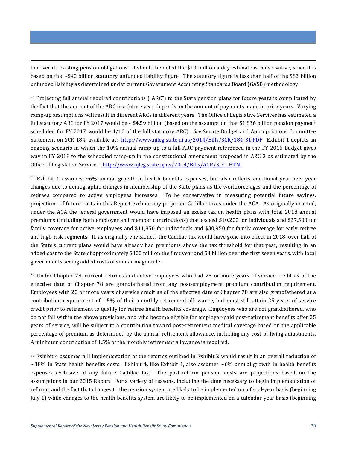to cover its existing pension obligations. It should be noted the \$10 million a day estimate is conservative, since it is based on the ∼\$40 billion statutory unfunded liability figure. The statutory figure is less than half of the \$82 billion unfunded liability as determined under current Government Accounting Standards Board (GASB) methodology.

<u>.</u>

<sup>30</sup> Projecting full annual required contributions ("ARC") to the State pension plans for future years is complicated by the fact that the amount of the ARC in a future year depends on the amount of payments made in prior years. Varying ramp-up assumptions will result in different ARCs in different years. The Office of Legislative Services has estimated a full statutory ARC for FY 2017 would be ∽\$4.59 billion (based on the assumption that \$1.836 billion pension payment scheduled for FY 2017 would be 4/10 of the full statutory ARC). *See* Senate Budget and Appropriations Committee Statement on SCR 184, available at: http://www.njleg.state.nj.us/2014/Bills/SCR/184\_S1.PDF. Exhibit 1 depicts an ongoing scenario in which the 10% annual ramp-up to a full ARC payment referenced in the FY 2016 Budget gives way in FY 2018 to the scheduled ramp-up in the constitutional amendment proposed in ARC 3 as estimated by the Office of Legislative Services. http://www.njleg.state.nj.us/2014/Bills/ACR/3\_E1.HTM.

<sup>31</sup> Exhibit 1 assumes ∼6% annual growth in health benefits expenses, but also reflects additional year-over-year changes due to demographic changes in membership of the State plans as the workforce ages and the percentage of retirees compared to active employees increases. To be conservative in measuring potential future savings, projections of future costs in this Report exclude any projected Cadillac taxes under the ACA. As originally enacted, under the ACA the federal government would have imposed an excise tax on health plans with total 2018 annual premiums (including both employer and member contributions) that exceed \$10,200 for individuals and \$27,500 for family coverage for active employees and \$11,850 for individuals and \$30,950 for family coverage for early retiree and high-risk segments. If, as originally envisioned, the Cadillac tax would have gone into effect in 2018, over half of the State's current plans would have already had premiums above the tax threshold for that year, resulting in an added cost to the State of approximately \$300 million the first year and \$3 billion over the first seven years, with local governments seeing added costs of similar magnitude.

<sup>32</sup> Under Chapter 78, current retirees and active employees who had 25 or more years of service credit as of the effective date of Chapter 78 are grandfathered from any post-employment premium contribution requirement. Employees with 20 or more years of service credit as of the effective date of Chapter 78 are also grandfathered at a contribution requirement of 1.5% of their monthly retirement allowance, but must still attain 25 years of service credit prior to retirement to qualify for retiree health benefits coverage. Employees who are not grandfathered, who do not fall within the above provisions, and who become eligible for employer-paid post-retirement benefits after 25 years of service, will be subject to a contribution toward post-retirement medical coverage based on the applicable percentage of premium as determined by the annual retirement allowance, including any cost-of-living adjustments. A minimum contribution of 1.5% of the monthly retirement allowance is required.

<sup>33</sup> Exhibit 4 assumes full implementation of the reforms outlined in Exhibit 2 would result in an overall reduction of ∼38% in State health benefits costs. Exhibit 4, like Exhibit 1, also assumes ∼6% annual growth in health benefits expenses exclusive of any future Cadillac tax. The post-reform pension costs are projections based on the assumptions in our 2015 Report. For a variety of reasons, including the time necessary to begin implementation of reforms and the fact that changes to the pension system are likely to be implemented on a fiscal-year basis (beginning July 1) while changes to the health benefits system are likely to be implemented on a calendar-year basis (beginning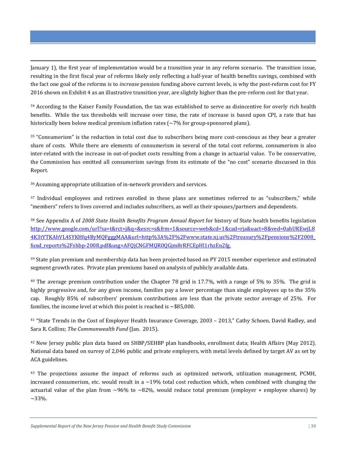January 1), the first year of implementation would be a transition year in any reform scenario. The transition issue, resulting in the first fiscal year of reforms likely only reflecting a half-year of health benefits savings, combined with the fact one goal of the reforms is to *increase* pension funding above current levels, is why the post-reform cost for FY 2016 shown on Exhibit 4 as an illustrative transition year, are slightly higher than the pre-reform cost for that year.

<sup>34</sup> According to the Kaiser Family Foundation, the tax was established to serve as disincentive for overly rich health benefits. While the tax thresholds will increase over time, the rate of increase is based upon CPI, a rate that has historically been below medical premium inflation rates ( $\sim$ 7% for group-sponsored plans).

<sup>35</sup> "Consumerism" is the reduction in total cost due to subscribers being more cost-conscious as they bear a greater share of costs. While there are elements of consumerism in several of the total cost reforms, consumerism is also inter-related with the increase in out-of-pocket costs resulting from a change in actuarial value. To be conservative, the Commission has omitted all consumerism savings from its estimate of the "no cost" scenario discussed in this Report.

<sup>36</sup> Assuming appropriate utilization of in-network providers and services.

<u>.</u>

<sup>37</sup> Individual employees and retirees enrolled in these plans are sometimes referred to as "subscribers," while "members" refers to lives covered and includes subscribers, as well as their spouses/partners and dependents.

<sup>38</sup> See Appendix A of *2008 State Health Benefits Program Annual Report* for history of State health benefits legislation http://www.google.com/url?sa=t&rct=j&q=&esrc=s&frm=1&source=web&cd=1&cad=rja&uact=8&ved=0ahUKEwjL8 4K3tYTKAhVL4SYKHfq4ByMQFgggMAA&url=http%3A%2F%2Fwww.state.nj.us%2Ftreasury%2Fpensions%2F2008\_ fund\_reports%2Fshbp-2008.pdf&usg=AFQjCNGFMQR0QGjm8rRFCEpHl1rhzEn2fg.

<sup>39</sup> State plan premium and membership data has been projected based on PY 2015 member experience and estimated segment growth rates. Private plan premiums based on analysis of publicly available data.

<sup>40</sup> The average premium contribution under the Chapter 78 grid is 17.7%, with a range of 5% to 35%. The grid is highly progressive and, for any given income, families pay a lower percentage than single employees up to the 35% cap. Roughly 85% of subscribers' premium contributions are less than the private sector average of 25%. For families, the income level at which this point is reached is ∼\$85,000.

<sup>41</sup> "State Trends in the Cost of Employer Health Insurance Coverage, 2003 – 2013," Cathy Schoen, David Radley, and Sara R. Collins; *The Commonwealth Fund* (Jan. 2015).

<sup>42</sup> New Jersey public plan data based on SHBP/SEHBP plan handbooks, enrollment data; Health Affairs (May 2012). National data based on survey of 2,046 public and private employers, with metal levels defined by target AV as set by ACA guidelines.

<sup>43</sup> The projections assume the impact of reforms such as optimized network, utilization management, PCMH, increased consumerism, etc. would result in a  $\sim$ 19% total cost reduction which, when combined with changing the actuarial value of the plan from  $\sim$ 96% to  $\sim$ 82%, would reduce total premium (employer + employee shares) by  $~1.33\%$ .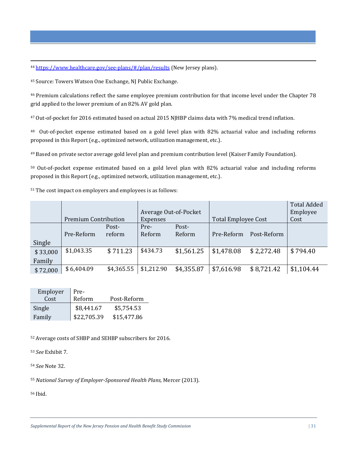<sup>44</sup> https://www.healthcare.gov/see-plans/#/plan/results (New Jersey plans).

<sup>45</sup> Source: Towers Watson One Exchange, NJ Public Exchange.

<sup>46</sup> Premium calculations reflect the same employee premium contribution for that income level under the Chapter 78 grid applied to the lower premium of an 82% AV gold plan.

<sup>47</sup> Out-of-pocket for 2016 estimated based on actual 2015 NJHBP claims data with 7% medical trend inflation.

<sup>48</sup>Out-of-pocket expense estimated based on a gold level plan with 82% actuarial value and including reforms proposed in this Report (e.g., optimized network, utilization management, etc.).

<sup>49</sup> Based on private sector average gold level plan and premium contribution level (Kaiser Family Foundation).

<sup>50</sup> Out-of-pocket expense estimated based on a gold level plan with 82% actuarial value and including reforms proposed in this Report (e.g., optimized network, utilization management, etc.).

<sup>51</sup> The cost impact on employers and employees is as follows:

|                    | <b>Premium Contribution</b> |                 | <b>Expenses</b> | Average Out-of-Pocket | <b>Total Employee Cost</b> |             | <b>Total Added</b><br>Employee<br>Cost |
|--------------------|-----------------------------|-----------------|-----------------|-----------------------|----------------------------|-------------|----------------------------------------|
| Single             | Pre-Reform                  | Post-<br>reform | Pre-<br>Reform  | Post-<br>Reform       | Pre-Reform                 | Post-Reform |                                        |
| \$33,000<br>Family | \$1,043.35                  | \$711.23        | \$434.73        | \$1,561.25            | \$1,478.08                 | \$2,272.48  | \$794.40                               |
| \$72,000           | \$6,404.09                  | \$4,365.55      | \$1,212.90      | \$4,355.87            | \$7,616.98                 | \$8,721.42  | \$1,104.44                             |

| Employer | Pre-        |             |
|----------|-------------|-------------|
| Cost     | Reform      | Post-Reform |
| Single   | \$8,441.67  | \$5,754.53  |
| Family   | \$22,705.39 | \$15,477.86 |

<sup>52</sup> Average costs of SHBP and SEHBP subscribers for 2016.

<sup>53</sup> *See* Exhibit 7.

<sup>54</sup> *See* Note 32.

<sup>55</sup> *National Survey of Employer-Sponsored Health Plans,* Mercer (2013).

56 Ibid.

<u>.</u>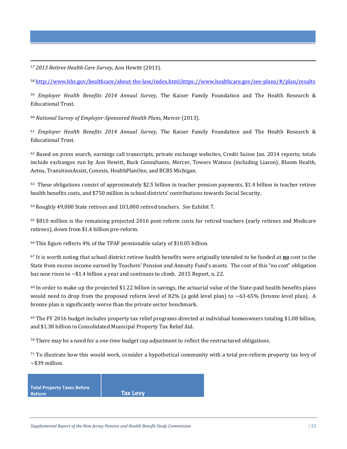<sup>57</sup> *2013 Retiree Health Care Survey,* Aon Hewitt (2013).

<u>.</u>

<sup>58</sup> http://www.hhs.gov/healthcare/about-the-law/index.html;https://www.healthcare.gov/see-plans/#/plan/results

<sup>59</sup> *Employer Health Benefits 2014 Annual Survey,* The Kaiser Family Foundation and The Health Research & Educational Trust.

<sup>60</sup> *National Survey of Employer-Sponsored Health Plans,* Mercer (2013).

<sup>61</sup> *Employer Health Benefits 2014 Annual Survey,* The Kaiser Family Foundation and The Health Research & Educational Trust.

 $62$  Based on press search, earnings call transcripts, private exchange websites, Credit Suisse Jan. 2014 reports; totals include exchanges run by Aon Hewitt, Buck Consultants, Mercer, Towers Watson (including Liazon), Bloom Health, Aetna, TransitionAssist, Conexis, HealthPlanOne, and BCBS Michigan.

 $63$  These obligations consist of approximately \$2.5 billion in teacher pension payments, \$1.4 billion in teacher retiree health benefits costs, and \$750 million in school districts' contributions towards Social Security.

<sup>64</sup> Roughly 49,000 State retirees and 103,000 retired teachers. *See* Exhibit 7.

<sup>65</sup> \$810 million is the remaining projected 2016 post-reform costs for retired teachers (early retirees and Medicare retirees), down from \$1.4 billion pre-reform.

<sup>66</sup> This figure reflects 4% of the TPAF pensionable salary of \$10.05 billion.

<sup>67</sup> It is worth noting that school district retiree health benefits were originally intended to be funded at *no* cost to the State from excess income earned by Teachers' Pension and Annuity Fund's assets. The cost of this "no cost" obligation has now risen to ∼\$1.4 billion a year and continues to climb. 2015 Report, n. 22.

<sup>68</sup> In order to make up the projected \$1.22 billion in savings, the actuarial value of the State-paid health benefits plans would need to drop from the proposed reform level of 82% (a gold level plan) to  $\sim$  63-65% (bronze level plan). A bronze plan is significantly worse than the private sector benchmark.

 $69$  The FY 2016 budget includes property tax relief programs directed at individual homeowners totaling \$1.08 billion, and \$1.38 billion in Consolidated Municipal Property Tax Relief Aid.

<sup>70</sup> There may be a need for a *one-time* budget cap adjustment to reflect the restructured obligations.

<sup>71</sup> To illustrate how this would work, consider a hypothetical community with a total pre-reform property tax levy of ∼\$39 million.

| <b>Total Property Taxes Before</b> |                 |
|------------------------------------|-----------------|
| <b>Reform</b>                      | <b>Tax Levy</b> |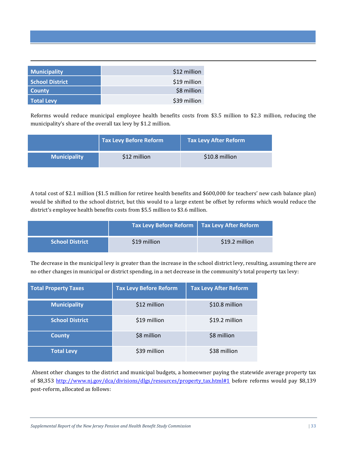| <b>Municipality</b>    | \$12 million |
|------------------------|--------------|
| <b>School District</b> | \$19 million |
| <b>County</b>          | \$8 million  |
| <b>Total Levy</b>      | \$39 million |

<u>.</u>

Reforms would reduce municipal employee health benefits costs from \$3.5 million to \$2.3 million, reducing the municipality's share of the overall tax levy by \$1.2 million.

|                     | Tax Levy Before Reform | Tax Levy After Reform |  |
|---------------------|------------------------|-----------------------|--|
| <b>Municipality</b> | \$12 million           | \$10.8 million        |  |

A total cost of \$2.1 million (\$1.5 million for retiree health benefits and \$600,000 for teachers' new cash balance plan) would be shifted to the school district, but this would to a large extent be offset by reforms which would reduce the district's employee health benefits costs from \$5.5 million to \$3.6 million.

|                        | $\sqrt{ }$ Tax Levy Before Reform $\sqrt{ }$ Tax Levy After Reform |                |
|------------------------|--------------------------------------------------------------------|----------------|
| <b>School District</b> | \$19 million                                                       | \$19.2 million |

The decrease in the municipal levy is greater than the increase in the school district levy, resulting, assuming there are no other changes in municipal or district spending, in a net decrease in the community's total property tax levy:

| <b>Total Property Taxes</b> | <b>Tax Levy Before Reform</b> | <b>Tax Levy After Reform</b> |
|-----------------------------|-------------------------------|------------------------------|
| <b>Municipality</b>         | \$12 million                  | \$10.8 million               |
| <b>School District</b>      | \$19 million                  | \$19.2 million               |
| <b>County</b>               | \$8 million                   | \$8 million                  |
| <b>Total Levy</b>           | \$39 million                  | \$38 million                 |

 Absent other changes to the district and municipal budgets, a homeowner paying the statewide average property tax of \$8,353 http://www.nj.gov/dca/divisions/dlgs/resources/property\_tax.html#1 before reforms would pay \$8,139 post-reform, allocated as follows: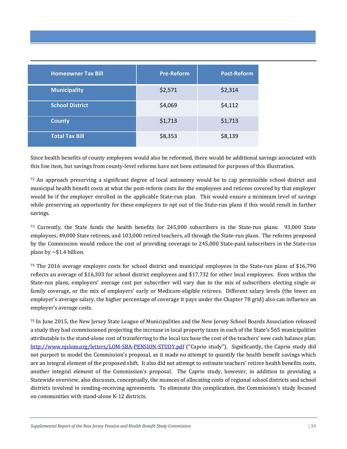| <b>Homeowner Tax Bill</b> | <b>Pre-Reform</b> | <b>Post-Reform</b> |
|---------------------------|-------------------|--------------------|
| <b>Municipality</b>       | \$2,571           | \$2,314            |
| <b>School District</b>    | \$4,069           | \$4,112            |
| <b>County</b>             | \$1,713           | \$1,713            |
| <b>Total Tax Bill</b>     | \$8,353           | \$8,139            |

Since health benefits of county employees would also be reformed, there would be additional savings associated with this line item, but savings from county-level reforms have not been estimated for purposes of this illustration.

 $72$  An approach preserving a significant degree of local autonomy would be to cap permissible school district and municipal health benefit costs at what the post-reform costs for the employees and retirees covered by that employer would be if the employer enrolled in the applicable State-run plan. This would ensure a minimum level of savings while preserving an opportunity for these employers to opt out of the State-run plans if this would result in further savings.

<sup>73</sup> Currently, the State funds the health benefits for 245,000 subscribers in the State-run plans: 93,000 State employees, 49,000 State retirees, and 103,000 retired teachers, all through the State-run plans. The reforms proposed by the Commission would reduce the cost of providing coverage to 245,000 State-paid subscribers in the State-run plans by ∼\$1.4 billion.

<sup>74</sup> The 2016 average employer costs for school district and municipal employees in the State-run plans of \$16,790 reflects an average of \$16,303 for school district employees and \$17,732 for other local employees. Even within the State-run plans, employers' average cost per subscriber will vary due to the mix of subscribers electing single or family coverage, or the mix of employers' early or Medicare-eligible retirees. Different salary levels (the lower an employer's average salary, the higher percentage of coverage it pays under the Chapter 78 grid) also can influence an employer's average costs.

<sup>75</sup> In June 2015, the New Jersey State League of Municipalities and the New Jersey School Boards Association released a study they had commissioned projecting the increase in local property taxes in each of the State's 565 municipalities attributable to the stand-alone cost of transferring to the local tax base the cost of the teachers' new cash balance plan. http://www.njslom.org/letters/LOM-SBA-PENSION-STUDY.pdf ("Caprio study"). Significantly, the Caprio study did not purport to model the Commission's proposal, as it made no attempt to quantify the health benefit savings which are an integral element of the proposed shift. It also did not attempt to estimate teachers' retiree health benefits costs, another integral element of the Commission's proposal. The Caprio study, however, in addition to providing a Statewide overview, also discusses, conceptually, the nuances of allocating costs of regional school districts and school districts involved in sending-receiving agreements. To eliminate this complication, the Commission's study focused on communities with stand-alone K-12 districts.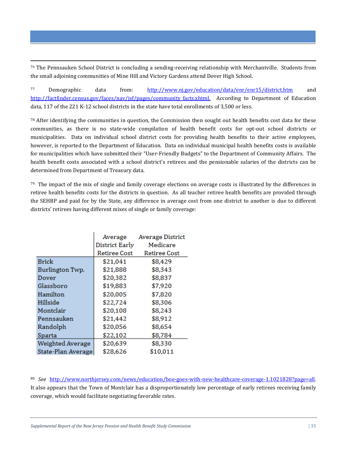<sup>76</sup> The Pennsauken School District is concluding a sending-receiving relationship with Merchantville. Students from the small adjoining communities of Mine Hill and Victory Gardens attend Dover High School.

<sup>77</sup> Demographic data from: http://www.nj.gov/education/data/enr/enr15/district.htm and http://factfinder.census.gov/faces/nav/jsf/pages/community facts.xhtml. According to Department of Education data, 117 of the 221 K-12 school districts in the state have total enrollments of 3,500 or less.

 $78$  After identifying the communities in question, the Commission then sought out health benefits cost data for these communities, as there is no state-wide compilation of health benefit costs for opt-out school districts or municipalities. Data on individual school district costs for providing health benefits to their active employees, however, is reported to the Department of Education. Data on individual municipal health benefits costs is available for municipalities which have submitted their "User-Friendly Budgets" to the Department of Community Affairs. The health benefit costs associated with a school district's retirees and the pensionable salaries of the districts can be determined from Department of Treasury data.

 $79$  The impact of the mix of single and family coverage elections on average costs is illustrated by the differences in retiree health benefits costs for the districts in question. As all teacher retiree health benefits are provided through the SEHBP and paid for by the State, any difference in average cost from one district to another is due to different districts' retirees having different mixes of single or family coverage:

|                    | <b>Average District</b><br>Average |              |
|--------------------|------------------------------------|--------------|
|                    | District Early                     | Medicare     |
|                    | Retiree Cost                       | Retiree Cost |
| Brick              | \$21,041                           | \$8,429      |
| Burlington Twp.    | \$21,888                           | \$8,343      |
| Dover              | \$20,382                           | \$8,837      |
| Glassboro          | \$19,883                           | \$7,920      |
| Hamilton           | \$20,005                           | \$7,820      |
| Hillside           | \$22,724                           | \$8,306      |
| Montclair          | \$20,108                           | \$8,243      |
| Pennsauken         | \$21,442                           | \$8,912      |
| Randolph           | \$20,056                           | \$8,654      |
| Sparta             | \$22,102                           | \$8,784      |
| Weighted Average   | \$20,639                           | \$8,330      |
| State-Plan Average | \$28,626                           | \$10,011     |

<u>.</u>

<sup>80</sup> *See* http://www.northjersey.com/news/education/boe-goes-with-new-healthcare-coverage-1.1021828?page=all. It also appears that the Town of Montclair has a disproportionately low percentage of early retirees receiving family coverage, which would facilitate negotiating favorable rates.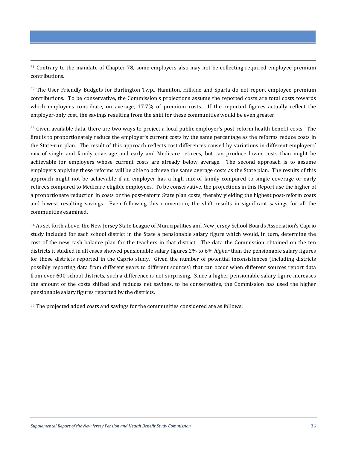<sup>81</sup> Contrary to the mandate of Chapter 78, some employers also may not be collecting required employee premium contributions.

<u>.</u>

82 The User Friendly Budgets for Burlington Twp., Hamilton, Hillside and Sparta do not report employee premium contributions. To be conservative, the Commission's projections assume the reported costs are total costs towards which employees contribute, on average, 17.7% of premium costs. If the reported figures actually reflect the employer-only cost, the savings resulting from the shift for these communities would be even greater.

<sup>83</sup> Given available data, there are two ways to project a local public employer's post-reform health benefit costs. The first is to proportionately reduce the employer's current costs by the same percentage as the reforms reduce costs in the State-run plan. The result of this approach reflects cost differences caused by variations in different employers' mix of single and family coverage and early and Medicare retirees, but can produce lower costs than might be achievable for employers whose current costs are already below average. The second approach is to assume employers applying these reforms will be able to achieve the same average costs as the State plan. The results of this approach might not be achievable if an employer has a high mix of family compared to single coverage or early retirees compared to Medicare-eligible employees. To be conservative, the projections in this Report use the higher of a proportionate reduction in costs or the post-reform State plan costs, thereby yielding the highest post-reform costs and lowest resulting savings. Even following this convention, the shift results in significant savings for all the communities examined.

84 As set forth above, the New Jersey State League of Municipalities and New Jersey School Boards Association's Caprio study included for each school district in the State a pensionable salary figure which would, in turn, determine the cost of the new cash balance plan for the teachers in that district. The data the Commission obtained on the ten districts it studied in all cases showed pensionable salary figures 2% to 6% *higher* than the pensionable salary figures for those districts reported in the Caprio study. Given the number of potential inconsistences (including districts possibly reporting data from different years to different sources) that can occur when different sources report data from over 600 school districts, such a difference is not surprising. Since a higher pensionable salary figure increases the amount of the costs shifted and reduces net savings, to be conservative, the Commission has used the higher pensionable salary figures reported by the districts.

85 The projected added costs and savings for the communities considered are as follows: